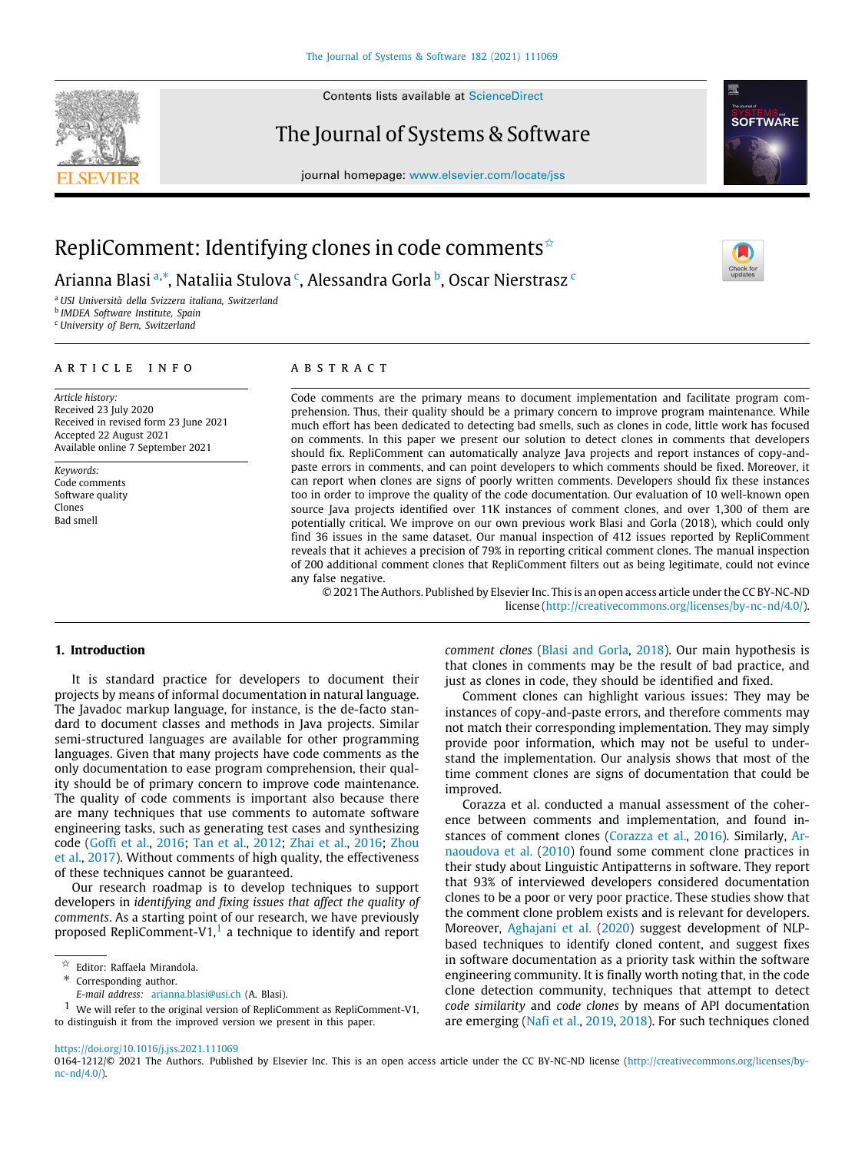

Contents lists available at [ScienceDirect](http://www.elsevier.com/locate/jss)

# The Journal of Systems & Software



journal homepage: [www.elsevier.com/locate/jss](http://www.elsevier.com/locate/jss)

# RepliComment: Identifying clones in code comments  $\hat{z}$

Ari[a](#page-0-1)nna Blasi ª,\*, Nataliia Stulova <sup>[c](#page-0-3)</sup>, Alessandra Gorla <sup>[b](#page-0-4)</sup>, Oscar Nierstrasz <sup>c</sup>

<span id="page-0-1"></span><sup>a</sup> *USI Università della Svizzera italiana, Switzerland*

<span id="page-0-4"></span>b *IMDEA Software Institute, Spain*

<span id="page-0-3"></span><sup>c</sup> *University of Bern, Switzerland*

# a r t i c l e i n f o

*Article history:* Received 23 July 2020 Received in revised form 23 June 2021 Accepted 22 August 2021 Available online 7 September 2021

*Keywords:* Code comments Software quality Clones Bad smell

# A B S T R A C T

Code comments are the primary means to document implementation and facilitate program comprehension. Thus, their quality should be a primary concern to improve program maintenance. While much effort has been dedicated to detecting bad smells, such as clones in code, little work has focused on comments. In this paper we present our solution to detect clones in comments that developers should fix. RepliComment can automatically analyze Java projects and report instances of copy-andpaste errors in comments, and can point developers to which comments should be fixed. Moreover, it can report when clones are signs of poorly written comments. Developers should fix these instances too in order to improve the quality of the code documentation. Our evaluation of 10 well-known open source Java projects identified over 11K instances of comment clones, and over 1,300 of them are potentially critical. We improve on our own previous work Blasi and Gorla (2018), which could only find 36 issues in the same dataset. Our manual inspection of 412 issues reported by RepliComment reveals that it achieves a precision of 79% in reporting critical comment clones. The manual inspection of 200 additional comment clones that RepliComment filters out as being legitimate, could not evince any false negative.

© 2021 The Authors. Published by Elsevier Inc. This is an open access article under the CC BY-NC-ND license (<http://creativecommons.org/licenses/by-nc-nd/4.0/>).

## **1. Introduction**

It is standard practice for developers to document their projects by means of informal documentation in natural language. The Javadoc markup language, for instance, is the de-facto standard to document classes and methods in Java projects. Similar semi-structured languages are available for other programming languages. Given that many projects have code comments as the only documentation to ease program comprehension, their quality should be of primary concern to improve code maintenance. The quality of code comments is important also because there are many techniques that use comments to automate software engineering tasks, such as generating test cases and synthesizing code ([Goffi et al.,](#page-12-0) [2016](#page-12-0); [Tan et al.,](#page-13-0) [2012;](#page-13-0) [Zhai et al.,](#page-13-1) [2016](#page-13-1); [Zhou](#page-13-2) [et al.](#page-13-2), [2017\)](#page-13-2). Without comments of high quality, the effectiveness of these techniques cannot be guaranteed.

Our research roadmap is to develop techniques to support developers in *identifying and fixing issues that affect the quality of comments*. As a starting point of our research, we have previously proposed RepliComment-V[1](#page-0-5), $^1$  a technique to identify and report

- <span id="page-0-5"></span><span id="page-0-2"></span><span id="page-0-0"></span>∗ Corresponding author.
- *E-mail address:* [arianna.blasi@usi.ch](mailto:arianna.blasi@usi.ch) (A. Blasi).

1 We will refer to the original version of RepliComment as RepliComment-V1, to distinguish it from the improved version we present in this paper.

*comment clones* [\(Blasi and Gorla,](#page-12-1) [2018](#page-12-1)). Our main hypothesis is that clones in comments may be the result of bad practice, and just as clones in code, they should be identified and fixed.

Comment clones can highlight various issues: They may be instances of copy-and-paste errors, and therefore comments may not match their corresponding implementation. They may simply provide poor information, which may not be useful to understand the implementation. Our analysis shows that most of the time comment clones are signs of documentation that could be improved.

Corazza et al. conducted a manual assessment of the coherence between comments and implementation, and found instances of comment clones ([Corazza et al.,](#page-12-2) [2016](#page-12-2)). Similarly, [Ar](#page-12-3)[naoudova et al.](#page-12-3) [\(2010\)](#page-12-3) found some comment clone practices in their study about Linguistic Antipatterns in software. They report that 93% of interviewed developers considered documentation clones to be a poor or very poor practice. These studies show that the comment clone problem exists and is relevant for developers. Moreover, [Aghajani et al.](#page-12-4) [\(2020\)](#page-12-4) suggest development of NLPbased techniques to identify cloned content, and suggest fixes in software documentation as a priority task within the software engineering community. It is finally worth noting that, in the code clone detection community, techniques that attempt to detect *code similarity* and *code clones* by means of API documentation are emerging ([Nafi et al.](#page-12-5), [2019,](#page-12-5) [2018](#page-12-6)). For such techniques cloned

<https://doi.org/10.1016/j.jss.2021.111069>



 $\overrightarrow{a}$  Editor: Raffaela Mirandola.

<sup>0164-1212/</sup>© 2021 The Authors. Published by Elsevier Inc. This is an open access article under the CC BY-NC-ND license [\(http://creativecommons.org/licenses/by](http://creativecommons.org/licenses/by-nc-nd/4.0/) $nc-nd/4.0)$ .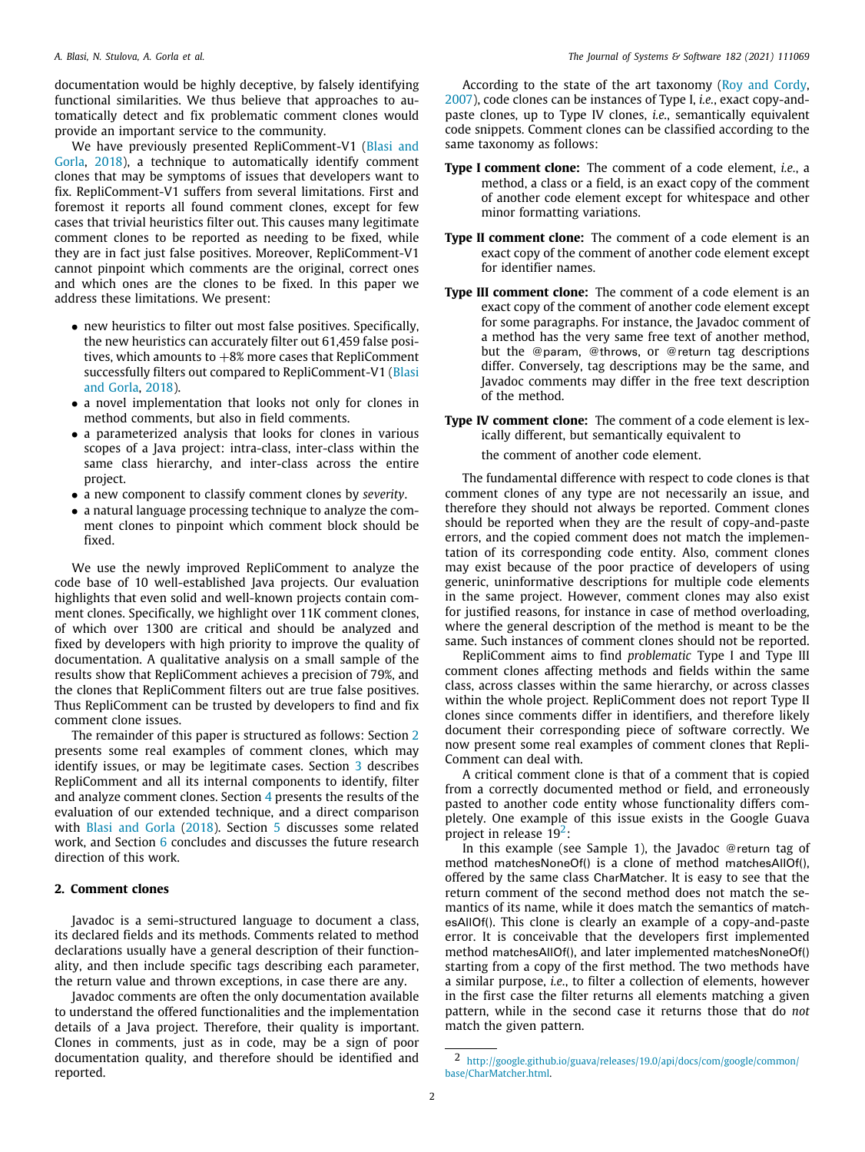documentation would be highly deceptive, by falsely identifying functional similarities. We thus believe that approaches to automatically detect and fix problematic comment clones would provide an important service to the community.

We have previously presented RepliComment-V1 ([Blasi and](#page-12-1) [Gorla](#page-12-1), [2018\)](#page-12-1), a technique to automatically identify comment clones that may be symptoms of issues that developers want to fix. RepliComment-V1 suffers from several limitations. First and foremost it reports all found comment clones, except for few cases that trivial heuristics filter out. This causes many legitimate comment clones to be reported as needing to be fixed, while they are in fact just false positives. Moreover, RepliComment-V1 cannot pinpoint which comments are the original, correct ones and which ones are the clones to be fixed. In this paper we address these limitations. We present:

- new heuristics to filter out most false positives. Specifically, the new heuristics can accurately filter out 61,459 false positives, which amounts to  $+8\%$  more cases that RepliComment successfully filters out compared to RepliComment-V1 ([Blasi](#page-12-1) [and Gorla,](#page-12-1) [2018](#page-12-1)).
- a novel implementation that looks not only for clones in method comments, but also in field comments.
- a parameterized analysis that looks for clones in various scopes of a Java project: intra-class, inter-class within the same class hierarchy, and inter-class across the entire project.
- a new component to classify comment clones by *severity*.
- a natural language processing technique to analyze the comment clones to pinpoint which comment block should be fixed.

We use the newly improved RepliComment to analyze the code base of 10 well-established Java projects. Our evaluation highlights that even solid and well-known projects contain comment clones. Specifically, we highlight over 11K comment clones, of which over 1300 are critical and should be analyzed and fixed by developers with high priority to improve the quality of documentation. A qualitative analysis on a small sample of the results show that RepliComment achieves a precision of 79%, and the clones that RepliComment filters out are true false positives. Thus RepliComment can be trusted by developers to find and fix comment clone issues.

The remainder of this paper is structured as follows: Section [2](#page-1-0) presents some real examples of comment clones, which may identify issues, or may be legitimate cases. Section [3](#page-2-0) describes RepliComment and all its internal components to identify, filter and analyze comment clones. Section [4](#page-5-0) presents the results of the evaluation of our extended technique, and a direct comparison with [Blasi and Gorla](#page-12-1) ([2018](#page-12-1)). Section [5](#page-11-0) discusses some related work, and Section [6](#page-12-7) concludes and discusses the future research direction of this work.

#### **2. Comment clones**

<span id="page-1-0"></span>Javadoc is a semi-structured language to document a class, its declared fields and its methods. Comments related to method declarations usually have a general description of their functionality, and then include specific tags describing each parameter, the return value and thrown exceptions, in case there are any.

Javadoc comments are often the only documentation available to understand the offered functionalities and the implementation details of a Java project. Therefore, their quality is important. Clones in comments, just as in code, may be a sign of poor documentation quality, and therefore should be identified and reported.

According to the state of the art taxonomy [\(Roy and Cordy,](#page-13-3) [2007\)](#page-13-3), code clones can be instances of Type I, *i.e.*, exact copy-andpaste clones, up to Type IV clones, *i.e.*, semantically equivalent code snippets. Comment clones can be classified according to the same taxonomy as follows:

- **Type I comment clone:** The comment of a code element, *i.e.*, a method, a class or a field, is an exact copy of the comment of another code element except for whitespace and other minor formatting variations.
- **Type II comment clone:** The comment of a code element is an exact copy of the comment of another code element except for identifier names.
- **Type III comment clone:** The comment of a code element is an exact copy of the comment of another code element except for some paragraphs. For instance, the Javadoc comment of a method has the very same free text of another method, but the @param, @throws, or @return tag descriptions differ. Conversely, tag descriptions may be the same, and Javadoc comments may differ in the free text description of the method.
- **Type IV comment clone:** The comment of a code element is lexically different, but semantically equivalent to

the comment of another code element.

The fundamental difference with respect to code clones is that comment clones of any type are not necessarily an issue, and therefore they should not always be reported. Comment clones should be reported when they are the result of copy-and-paste errors, and the copied comment does not match the implementation of its corresponding code entity. Also, comment clones may exist because of the poor practice of developers of using generic, uninformative descriptions for multiple code elements in the same project. However, comment clones may also exist for justified reasons, for instance in case of method overloading, where the general description of the method is meant to be the same. Such instances of comment clones should not be reported.

RepliComment aims to find *problematic* Type I and Type III comment clones affecting methods and fields within the same class, across classes within the same hierarchy, or across classes within the whole project. RepliComment does not report Type II clones since comments differ in identifiers, and therefore likely document their corresponding piece of software correctly. We now present some real examples of comment clones that Repli-Comment can deal with.

A critical comment clone is that of a comment that is copied from a correctly documented method or field, and erroneously pasted to another code entity whose functionality differs completely. One example of this issue exists in the Google Guava project in release  $19^2$  $19^2$ :

<span id="page-1-1"></span>In this example (see Sample 1), the Javadoc @return tag of method matchesNoneOf() is a clone of method matchesAllOf(), offered by the same class CharMatcher. It is easy to see that the return comment of the second method does not match the semantics of its name, while it does match the semantics of matchesAllOf(). This clone is clearly an example of a copy-and-paste error. It is conceivable that the developers first implemented method matchesAllOf(), and later implemented matchesNoneOf() starting from a copy of the first method. The two methods have a similar purpose, *i.e.*, to filter a collection of elements, however in the first case the filter returns all elements matching a given pattern, while in the second case it returns those that do *not* match the given pattern.

<sup>2</sup> [http://google.github.io/guava/releases/19.0/api/docs/com/google/common/](http://google.github.io/guava/releases/19.0/api/docs/com/google/common/base/CharMatcher.html) [base/CharMatcher.html.](http://google.github.io/guava/releases/19.0/api/docs/com/google/common/base/CharMatcher.html)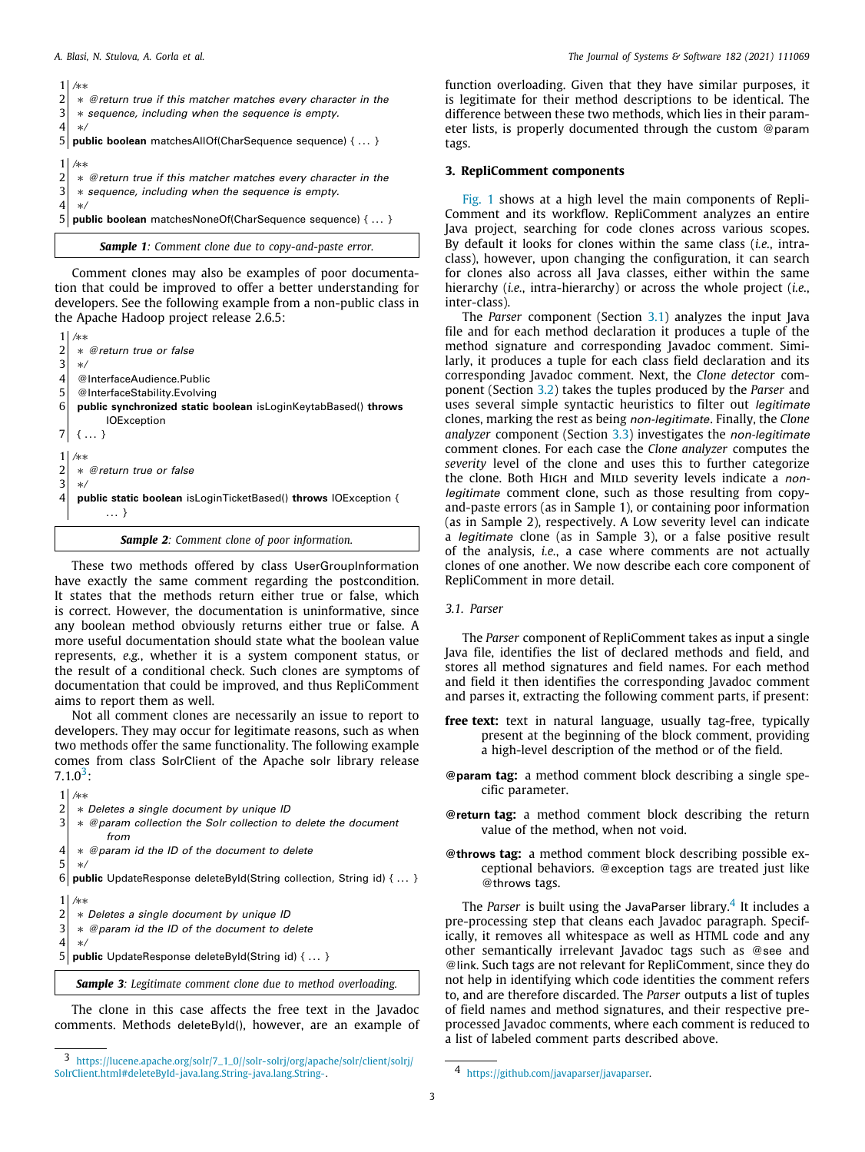|                | /**                                                           |
|----------------|---------------------------------------------------------------|
|                | * @return true if this matcher matches every character in the |
| 3              | * sequence, including when the sequence is empty.             |
|                | $\ast/$                                                       |
|                | public boolean matchesAllOf(CharSequence sequence) {  }       |
|                |                                                               |
|                | /**                                                           |
|                | * @return true if this matcher matches every character in the |
| $\overline{3}$ | * sequence, including when the sequence is empty.             |
|                | $\ast/$                                                       |
|                | public boolean matchesNoneOf(CharSequence sequence) {  }      |
|                |                                                               |

<span id="page-2-4"></span>*Sample 1: Comment clone due to copy-and-paste error.*

Comment clones may also be examples of poor documentation that could be improved to offer a better understanding for developers. See the following example from a non-public class in the Apache Hadoop project release 2.6.5:

1 */*∗∗ 2 ∗ *@return true or false* 3 ∗*/* 4 @InterfaceAudience.Public<br>5 @InterfaceStability.Evolvine @InterfaceStability.Evolving 6 **public synchronized static boolean** isLoginKeytabBased() **throws IOException**  $7 \mid \{ \dots \}$ 1 */*∗∗  $\begin{array}{c|c} 2 & * \text{ @return true or false} \\ 3 & * \end{array}$ 3 ∗*/* 4 **public static boolean** isLoginTicketBased() **throws** IOException { . . . }

*Sample 2: Comment clone of poor information.*

These two methods offered by class UserGroupInformation have exactly the same comment regarding the postcondition. It states that the methods return either true or false, which is correct. However, the documentation is uninformative, since any boolean method obviously returns either true or false. A more useful documentation should state what the boolean value represents, *e.g.*, whether it is a system component status, or the result of a conditional check. Such clones are symptoms of documentation that could be improved, and thus RepliComment aims to report them as well.

Not all comment clones are necessarily an issue to report to developers. They may occur for legitimate reasons, such as when two methods offer the same functionality. The following example comes from class SolrClient of the Apache solr library release  $7.1.0^3$  $7.1.0^3$ :

<span id="page-2-1"></span>

|                | /**                                                                    |
|----------------|------------------------------------------------------------------------|
|                | * Deletes a single document by unique ID                               |
| 3              | * @param collection the Solr collection to delete the document<br>from |
|                | * @param id the ID of the document to delete<br>$\ast/$                |
| 6              | public UpdateResponse deleteById(String collection, String id) { }     |
|                | /**                                                                    |
| $\overline{2}$ | * Deletes a single document by unique ID                               |
| $\overline{3}$ | * @param id the ID of the document to delete                           |
| 4              | $\ast/$                                                                |
|                | <b>public</b> UpdateResponse deleteById(String id) {  }                |
|                | <b>Sample 3:</b> Legitimate comment clone due to method overloading.   |

The clone in this case affects the free text in the Javadoc comments. Methods deleteById(), however, are an example of

function overloading. Given that they have similar purposes, it is legitimate for their method descriptions to be identical. The difference between these two methods, which lies in their parameter lists, is properly documented through the custom @param tags.

# **3. RepliComment components**

<span id="page-2-0"></span>[Fig.](#page-3-0) [1](#page-3-0) shows at a high level the main components of Repli-Comment and its workflow. RepliComment analyzes an entire Java project, searching for code clones across various scopes. By default it looks for clones within the same class (*i.e.*, intraclass), however, upon changing the configuration, it can search for clones also across all Java classes, either within the same hierarchy (*i.e.*, intra-hierarchy) or across the whole project (*i.e.*, inter-class).

The *Parser* component (Section [3.1\)](#page-2-2) analyzes the input Java file and for each method declaration it produces a tuple of the method signature and corresponding Javadoc comment. Similarly, it produces a tuple for each class field declaration and its corresponding Javadoc comment. Next, the *Clone detector* component (Section [3.2\)](#page-3-1) takes the tuples produced by the *Parser* and uses several simple syntactic heuristics to filter out *legitimate* clones, marking the rest as being *non-legitimate*. Finally, the *Clone analyzer* component (Section [3.3](#page-3-2)) investigates the *non-legitimate* comment clones. For each case the *Clone analyzer* computes the *severity* level of the clone and uses this to further categorize the clone. Both High and Mild severity levels indicate a *nonlegitimate* comment clone, such as those resulting from copyand-paste errors (as in Sample 1), or containing poor information (as in Sample 2), respectively. A Low severity level can indicate a *legitimate* clone (as in Sample 3), or a false positive result of the analysis, *i.e.*, a case where comments are not actually clones of one another. We now describe each core component of RepliComment in more detail.

### *3.1. Parser*

<span id="page-2-2"></span>The *Parser* component of RepliComment takes as input a single Java file, identifies the list of declared methods and field, and stores all method signatures and field names. For each method and field it then identifies the corresponding Javadoc comment and parses it, extracting the following comment parts, if present:

- **free text:** text in natural language, usually tag-free, typically present at the beginning of the block comment, providing a high-level description of the method or of the field.
- **@param tag:** a method comment block describing a single specific parameter.
- **@return tag:** a method comment block describing the return value of the method, when not void.
- **@throws tag:** a method comment block describing possible exceptional behaviors. @exception tags are treated just like @throws tags.

<span id="page-2-3"></span>The *Parser* is built using the JavaParser library.<sup>[4](#page-2-3)</sup> It includes a pre-processing step that cleans each Javadoc paragraph. Specifically, it removes all whitespace as well as HTML code and any other semantically irrelevant Javadoc tags such as @see and @link. Such tags are not relevant for RepliComment, since they do not help in identifying which code identities the comment refers to, and are therefore discarded. The *Parser* outputs a list of tuples of field names and method signatures, and their respective preprocessed Javadoc comments, where each comment is reduced to a list of labeled comment parts described above.

<sup>3</sup> [https://lucene.apache.org/solr/7\\_1\\_0//solr-solrj/org/apache/solr/client/solrj/](https://lucene.apache.org/solr/7_1_0//solr-solrj/org/apache/solr/client/solrj/SolrClient.html#deleteById-java.lang.String-java.lang.String-) [SolrClient.html#deleteById-java.lang.String-java.lang.String-](https://lucene.apache.org/solr/7_1_0//solr-solrj/org/apache/solr/client/solrj/SolrClient.html#deleteById-java.lang.String-java.lang.String-).

<sup>4</sup> <https://github.com/javaparser/javaparser>.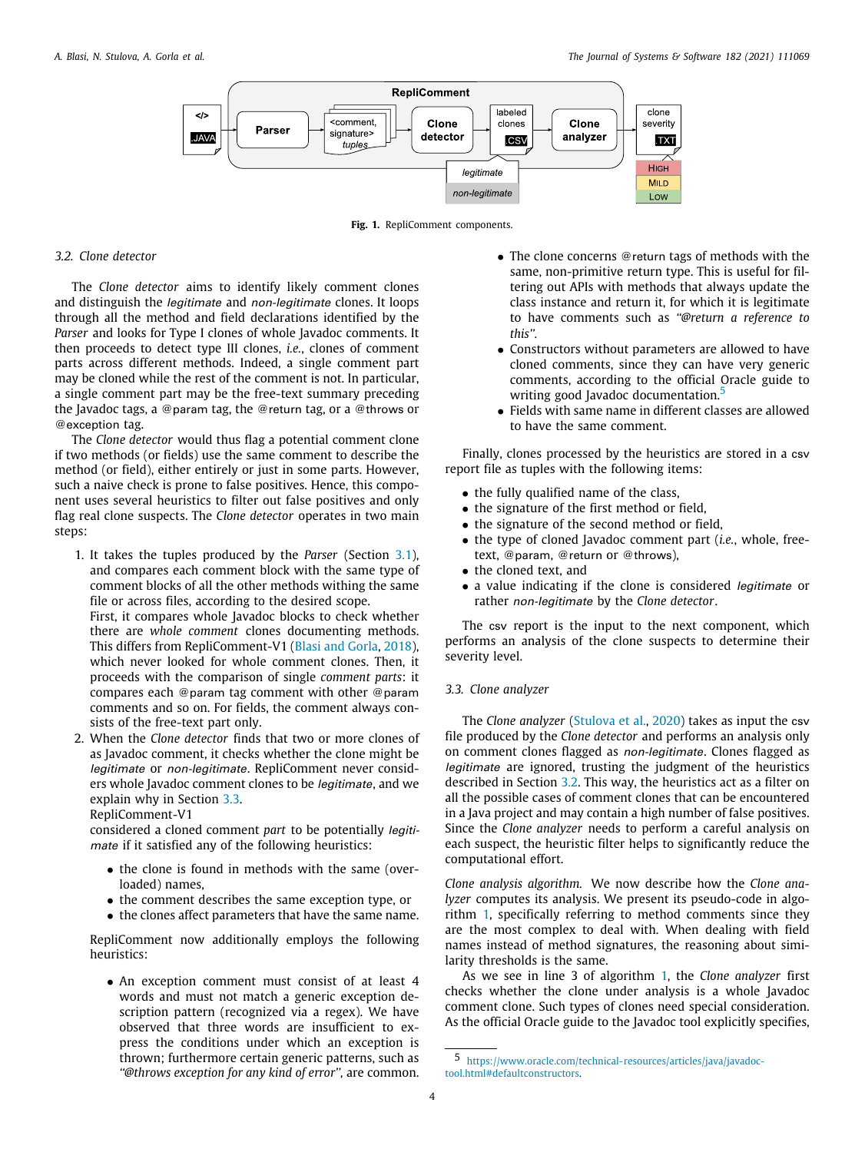

**Fig. 1.** RepliComment components.

#### <span id="page-3-0"></span>*3.2. Clone detector*

<span id="page-3-1"></span>The *Clone detector* aims to identify likely comment clones and distinguish the *legitimate* and *non-legitimate* clones. It loops through all the method and field declarations identified by the *Parser* and looks for Type I clones of whole Javadoc comments. It then proceeds to detect type III clones, *i.e.*, clones of comment parts across different methods. Indeed, a single comment part may be cloned while the rest of the comment is not. In particular, a single comment part may be the free-text summary preceding the Javadoc tags, a @param tag, the @return tag, or a @throws or @exception tag.

The *Clone detector* would thus flag a potential comment clone if two methods (or fields) use the same comment to describe the method (or field), either entirely or just in some parts. However, such a naive check is prone to false positives. Hence, this component uses several heuristics to filter out false positives and only flag real clone suspects. The *Clone detector* operates in two main steps:

1. It takes the tuples produced by the *Parser* (Section [3.1\)](#page-2-2), and compares each comment block with the same type of comment blocks of all the other methods withing the same file or across files, according to the desired scope.

First, it compares whole Javadoc blocks to check whether there are *whole comment* clones documenting methods. This differs from RepliComment-V1 [\(Blasi and Gorla](#page-12-1), [2018\)](#page-12-1), which never looked for whole comment clones. Then, it proceeds with the comparison of single *comment parts*: it compares each @param tag comment with other @param comments and so on. For fields, the comment always consists of the free-text part only.

2. When the *Clone detector* finds that two or more clones of as Javadoc comment, it checks whether the clone might be *legitimate* or *non-legitimate*. RepliComment never considers whole Javadoc comment clones to be *legitimate*, and we explain why in Section [3.3.](#page-3-2)

RepliComment-V1

considered a cloned comment *part* to be potentially *legitimate* if it satisfied any of the following heuristics:

- the clone is found in methods with the same (overloaded) names,
- the comment describes the same exception type, or
- the clones affect parameters that have the same name.

RepliComment now additionally employs the following heuristics:

• An exception comment must consist of at least 4 words and must not match a generic exception description pattern (recognized via a regex). We have observed that three words are insufficient to express the conditions under which an exception is thrown; furthermore certain generic patterns, such as *''@throws exception for any kind of error'',* are common.

- The clone concerns @return tags of methods with the same, non-primitive return type. This is useful for filtering out APIs with methods that always update the class instance and return it, for which it is legitimate to have comments such as *''@return a reference to this''.*
- Constructors without parameters are allowed to have cloned comments, since they can have very generic comments, according to the official Oracle guide to writing good Javadoc documentation.<sup>[5](#page-3-3)</sup>
- <span id="page-3-3"></span>• Fields with same name in different classes are allowed to have the same comment.

Finally, clones processed by the heuristics are stored in a csv report file as tuples with the following items:

- the fully qualified name of the class,
- the signature of the first method or field,
- the signature of the second method or field,
- the type of cloned Javadoc comment part (*i.e.*, whole, freetext, @param, @return or @throws),
- the cloned text, and
- a value indicating if the clone is considered *legitimate* or rather *non-legitimate* by the *Clone detector*.

The csv report is the input to the next component, which performs an analysis of the clone suspects to determine their severity level.

# *3.3. Clone analyzer*

<span id="page-3-2"></span>The *Clone analyzer* [\(Stulova et al.,](#page-13-4) [2020\)](#page-13-4) takes as input the csv file produced by the *Clone detector* and performs an analysis only on comment clones flagged as *non-legitimate*. Clones flagged as *legitimate* are ignored, trusting the judgment of the heuristics described in Section [3.2](#page-3-1). This way, the heuristics act as a filter on all the possible cases of comment clones that can be encountered in a Java project and may contain a high number of false positives. Since the *Clone analyzer* needs to perform a careful analysis on each suspect, the heuristic filter helps to significantly reduce the computational effort.

*Clone analysis algorithm.* We now describe how the *Clone analyzer* computes its analysis. We present its pseudo-code in algorithm [1](#page-4-0), specifically referring to method comments since they are the most complex to deal with. When dealing with field names instead of method signatures, the reasoning about similarity thresholds is the same.

As we see in line 3 of algorithm [1,](#page-4-0) the *Clone analyzer* first checks whether the clone under analysis is a whole Javadoc comment clone. Such types of clones need special consideration. As the official Oracle guide to the Javadoc tool explicitly specifies,

<sup>5</sup> [https://www.oracle.com/technical-resources/articles/java/javadoc](https://www.oracle.com/technical-resources/articles/java/javadoc-tool.html#defaultconstructors)[tool.html#defaultconstructors.](https://www.oracle.com/technical-resources/articles/java/javadoc-tool.html#defaultconstructors)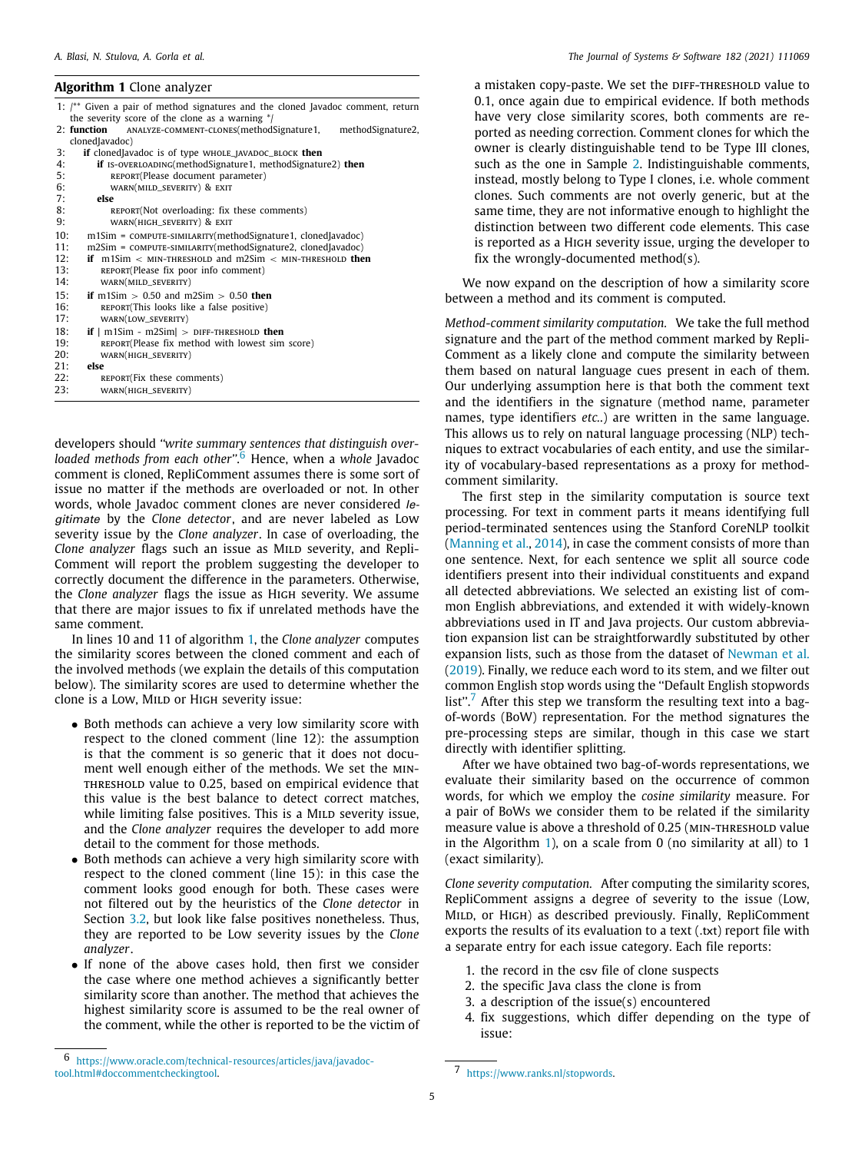#### <span id="page-4-0"></span>**Algorithm 1** Clone analyzer

| 1: $\ell^{**}$ Given a pair of method signatures and the cloned Javadoc comment, return |
|-----------------------------------------------------------------------------------------|
| the severity score of the clone as a warning */                                         |
| 2: function<br>ANALYZE-COMMENT-CLONES(methodSignature 1,<br>methodSignature2,           |
| clonedJavadoc)                                                                          |
| 3:<br><b>if</b> cloned avadoc is of type WHOLE_JAVADOC_BLOCK then                       |
| 4:<br>if IS-OVERLOADING(methodSignature1, methodSignature2) then                        |
| 5:<br>REPORT(Please document parameter)                                                 |
| 6:<br>WARN(MILD_SEVERITY) & EXIT                                                        |
| 7:<br>else                                                                              |
| 8:<br>REPORT(Not overloading: fix these comments)                                       |
| 9:<br>WARN(HIGH_SEVERITY) & EXIT                                                        |
| 10:<br>m1Sim = COMPUTE-SIMILARITY(methodSignature1, clonedJavadoc)                      |
| 11:<br>m2Sim = COMPUTE-SIMILARITY(methodSignature2, clonedJavadoc)                      |
| if $m1Sim < MIN$ -THRESHOLD and $m2Sim < MIN$ -THRESHOLD then<br>12:                    |
| 13:<br>REPORT(Please fix poor info comment)                                             |
| 14:<br>WARN(MILD_SEVERITY)                                                              |
| 15:<br>if m1Sim $> 0.50$ and m2Sim $> 0.50$ then                                        |
| 16:<br>REPORT(This looks like a false positive)                                         |
| WARN(LOW_SEVERITY)<br>17:                                                               |
| 18:<br>if $ m1Sim - m2Sim  > DIFF-THESHOLD$ then                                        |
| 19:<br>REPORT(Please fix method with lowest sim score)                                  |
| 20:<br>WARN(HIGH_SEVERITY)                                                              |
| 21:<br>else                                                                             |
| 22:<br>REPORT(Fix these comments)                                                       |
| 23:<br>WARN(HIGH_SEVERITY)                                                              |
|                                                                                         |
|                                                                                         |

<span id="page-4-1"></span>developers should *''write summary sentences that distinguish overloaded methods from each other''*. [6](#page-4-1) Hence, when a *whole* Javadoc comment is cloned, RepliComment assumes there is some sort of issue no matter if the methods are overloaded or not. In other words, whole Javadoc comment clones are never considered *legitimate* by the *Clone detector*, and are never labeled as Low severity issue by the *Clone analyzer*. In case of overloading, the *Clone analyzer* flags such an issue as MILD severity, and Repli-Comment will report the problem suggesting the developer to correctly document the difference in the parameters. Otherwise, the *Clone analyzer* flags the issue as High severity. We assume that there are major issues to fix if unrelated methods have the same comment.

In lines 10 and 11 of algorithm [1](#page-4-0), the *Clone analyzer* computes the similarity scores between the cloned comment and each of the involved methods (we explain the details of this computation below). The similarity scores are used to determine whether the clone is a Low, MILD or HIGH severity issue:

- Both methods can achieve a very low similarity score with respect to the cloned comment (line 12): the assumption is that the comment is so generic that it does not document well enough either of the methods. We set the min-THRESHOLD value to 0.25, based on empirical evidence that this value is the best balance to detect correct matches, while limiting false positives. This is a MILD severity issue, and the *Clone analyzer* requires the developer to add more detail to the comment for those methods.
- Both methods can achieve a very high similarity score with respect to the cloned comment (line 15): in this case the comment looks good enough for both. These cases were not filtered out by the heuristics of the *Clone detector* in Section [3.2,](#page-3-1) but look like false positives nonetheless. Thus, they are reported to be Low severity issues by the *Clone analyzer*.
- If none of the above cases hold, then first we consider the case where one method achieves a significantly better similarity score than another. The method that achieves the highest similarity score is assumed to be the real owner of the comment, while the other is reported to be the victim of

a mistaken copy-paste. We set the DIFF-THRESHOLD value to 0.1, once again due to empirical evidence. If both methods have very close similarity scores, both comments are reported as needing correction. Comment clones for which the owner is clearly distinguishable tend to be Type III clones, such as the one in Sample [2.](#page-2-4) Indistinguishable comments, instead, mostly belong to Type I clones, i.e. whole comment clones. Such comments are not overly generic, but at the same time, they are not informative enough to highlight the distinction between two different code elements. This case is reported as a HIGH severity issue, urging the developer to fix the wrongly-documented method(s).

We now expand on the description of how a similarity score between a method and its comment is computed.

*Method-comment similarity computation.* We take the full method signature and the part of the method comment marked by Repli-Comment as a likely clone and compute the similarity between them based on natural language cues present in each of them. Our underlying assumption here is that both the comment text and the identifiers in the signature (method name, parameter names, type identifiers *etc.*.) are written in the same language. This allows us to rely on natural language processing (NLP) techniques to extract vocabularies of each entity, and use the similarity of vocabulary-based representations as a proxy for methodcomment similarity.

The first step in the similarity computation is source text processing. For text in comment parts it means identifying full period-terminated sentences using the Stanford CoreNLP toolkit ([Manning et al.](#page-12-8), [2014](#page-12-8)), in case the comment consists of more than one sentence. Next, for each sentence we split all source code identifiers present into their individual constituents and expand all detected abbreviations. We selected an existing list of common English abbreviations, and extended it with widely-known abbreviations used in IT and Java projects. Our custom abbreviation expansion list can be straightforwardly substituted by other expansion lists, such as those from the dataset of [Newman et al.](#page-12-9) ([2019\)](#page-12-9). Finally, we reduce each word to its stem, and we filter out common English stop words using the ''Default English stopwords list".<sup>[7](#page-4-2)</sup> After this step we transform the resulting text into a bagof-words (BoW) representation. For the method signatures the pre-processing steps are similar, though in this case we start directly with identifier splitting.

<span id="page-4-2"></span>After we have obtained two bag-of-words representations, we evaluate their similarity based on the occurrence of common words, for which we employ the *cosine similarity* measure. For a pair of BoWs we consider them to be related if the similarity measure value is above a threshold of 0.25 (MIN-THRESHOLD value in the Algorithm [1\)](#page-4-0), on a scale from 0 (no similarity at all) to 1 (exact similarity).

*Clone severity computation.* After computing the similarity scores, RepliComment assigns a degree of severity to the issue (Low, MILD, or HIGH) as described previously. Finally, RepliComment exports the results of its evaluation to a text (.txt) report file with a separate entry for each issue category. Each file reports:

- 1. the record in the csv file of clone suspects
- 2. the specific Java class the clone is from
- 3. a description of the issue(s) encountered
- 4. fix suggestions, which differ depending on the type of issue:

<sup>6</sup> [https://www.oracle.com/technical-resources/articles/java/javadoc](https://www.oracle.com/technical-resources/articles/java/javadoc-tool.html#doccommentcheckingtool)[tool.html#doccommentcheckingtool.](https://www.oracle.com/technical-resources/articles/java/javadoc-tool.html#doccommentcheckingtool)

<sup>7</sup> <https://www.ranks.nl/stopwords>.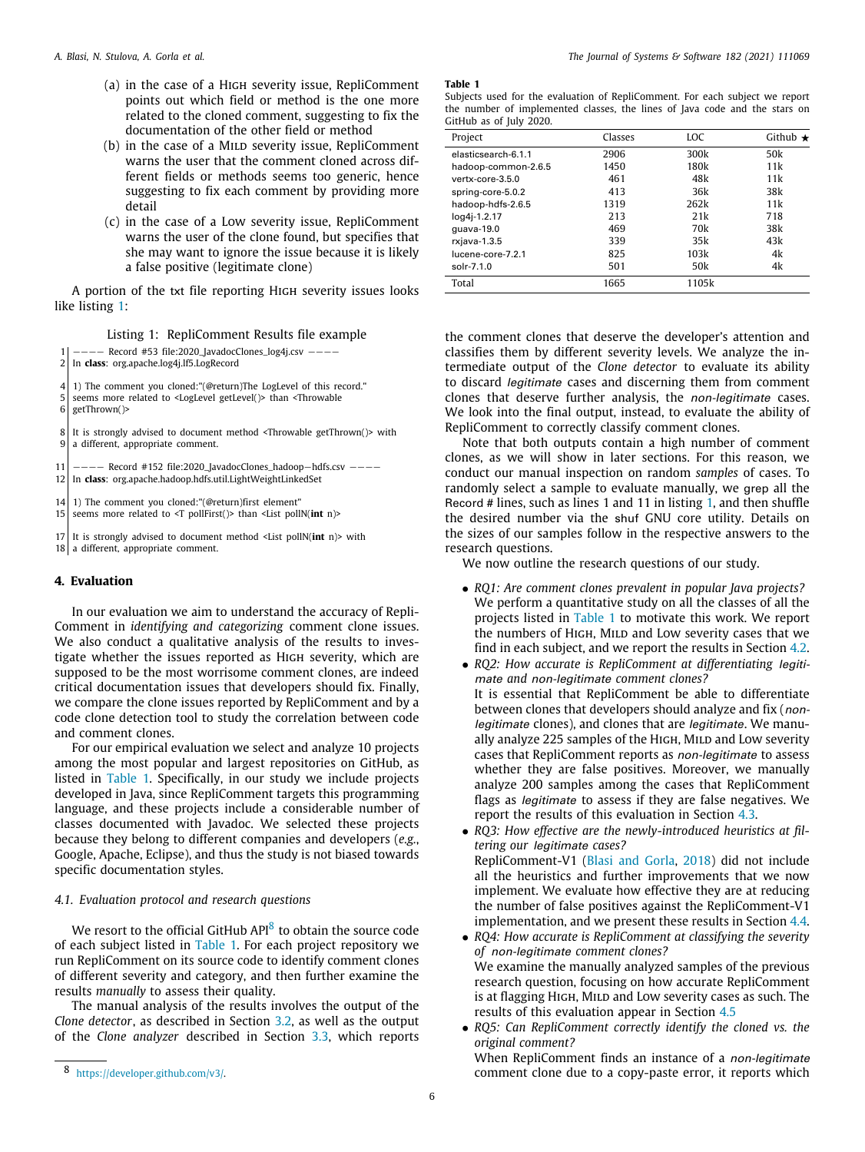- (a) in the case of a High severity issue, RepliComment points out which field or method is the one more related to the cloned comment, suggesting to fix the documentation of the other field or method
- (b) in the case of a MILD severity issue, RepliComment warns the user that the comment cloned across different fields or methods seems too generic, hence suggesting to fix each comment by providing more detail
- (c) in the case of a Low severity issue, RepliComment warns the user of the clone found, but specifies that she may want to ignore the issue because it is likely a false positive (legitimate clone)

A portion of the txt file reporting High severity issues looks like listing [1:](#page-5-1)

# Listing 1: RepliComment Results file example

<span id="page-5-1"></span>1 −−−− Record #53 file:2020\_JavadocClones\_log4j.csv −−−−

2 In **class**: org.apache.log4j.lf5.LogRecord

4 1) The comment you cloned:"(@return)The LogLevel of this record."

5 seems more related to <LogLevel getLevel()> than <Throwable

6 getThrown()>

8 It is strongly advised to document method <Throwable getThrown()> with 9 a different, appropriate comment.

11 | −−−− Record #152 file:2020\_JavadocClones\_hadoop−hdfs.csv −−−− 12 In **class**: org.apache.hadoop.hdfs.util.LightWeightLinkedSet

14 1) The comment you cloned:"(@return)first element"<br>15 seems more related to <T pollFirst()> than <l.ist poll

seems more related to <T pollFirst()> than <List pollN(**int** n)>

17 It is strongly advised to document method <List pollN(**int** n)> with 18 a different, appropriate comment.

# **4. Evaluation**

<span id="page-5-0"></span>In our evaluation we aim to understand the accuracy of Repli-Comment in *identifying and categorizing* comment clone issues. We also conduct a qualitative analysis of the results to investigate whether the issues reported as High severity, which are supposed to be the most worrisome comment clones, are indeed critical documentation issues that developers should fix. Finally, we compare the clone issues reported by RepliComment and by a code clone detection tool to study the correlation between code and comment clones.

For our empirical evaluation we select and analyze 10 projects among the most popular and largest repositories on GitHub, as listed in [Table](#page-5-2) [1.](#page-5-2) Specifically, in our study we include projects developed in Java, since RepliComment targets this programming language, and these projects include a considerable number of classes documented with Javadoc. We selected these projects because they belong to different companies and developers (*e.g.*, Google, Apache, Eclipse), and thus the study is not biased towards specific documentation styles.

# *4.1. Evaluation protocol and research questions*

We resort to the official GitHub API<sup>[8](#page-5-3)</sup> to obtain the source code of each subject listed in [Table](#page-5-2) [1](#page-5-2). For each project repository we run RepliComment on its source code to identify comment clones of different severity and category, and then further examine the results *manually* to assess their quality.

The manual analysis of the results involves the output of the *Clone detector*, as described in Section [3.2,](#page-3-1) as well as the output of the *Clone analyzer* described in Section [3.3](#page-3-2), which reports

#### **Table 1**

| Subjects used for the evaluation of RepliComment. For each subject we report |  |  |  |  |  |
|------------------------------------------------------------------------------|--|--|--|--|--|
| the number of implemented classes, the lines of Java code and the stars on   |  |  |  |  |  |
| GitHub as of July 2020.                                                      |  |  |  |  |  |

<span id="page-5-2"></span>

| Project             | Classes | LOC             | Github $\star$ |
|---------------------|---------|-----------------|----------------|
| elasticsearch-6.1.1 | 2906    | 300k            | 50k            |
| hadoop-common-2.6.5 | 1450    | 180k            | 11k            |
| vertx-core-3.5.0    | 461     | 48k             | 11k            |
| spring-core-5.0.2   | 413     | 36k             | 38k            |
| hadoop-hdfs-2.6.5   | 1319    | 262k            | 11k            |
| log4j-1.2.17        | 213     | 21k             | 718            |
| guava-19.0          | 469     | 70k             | 38k            |
| rxjava-1.3.5        | 339     | 35k             | 43k            |
| lucene-core-7.2.1   | 825     | 103k            | 4k             |
| solr-7.1.0          | 501     | 50 <sub>k</sub> | 4k             |
| Total               | 1665    | 1105k           |                |

the comment clones that deserve the developer's attention and classifies them by different severity levels. We analyze the intermediate output of the *Clone detector* to evaluate its ability to discard *legitimate* cases and discerning them from comment clones that deserve further analysis, the *non-legitimate* cases. We look into the final output, instead, to evaluate the ability of RepliComment to correctly classify comment clones.

Note that both outputs contain a high number of comment clones, as we will show in later sections. For this reason, we conduct our manual inspection on random *samples* of cases. To randomly select a sample to evaluate manually, we grep all the Record # lines, such as lines 1 and 11 in listing [1](#page-5-1), and then shuffle the desired number via the shuf GNU core utility. Details on the sizes of our samples follow in the respective answers to the research questions.

We now outline the research questions of our study.

- *RQ1: Are comment clones prevalent in popular Java projects?* We perform a quantitative study on all the classes of all the projects listed in [Table](#page-5-2) [1](#page-5-2) to motivate this work. We report the numbers of HIGH, MILD and Low severity cases that we find in each subject, and we report the results in Section [4.2.](#page-6-0)
- *RQ2: How accurate is RepliComment at differentiating legitimate and non-legitimate comment clones?* It is essential that RepliComment be able to differentiate between clones that developers should analyze and fix (*nonlegitimate* clones), and clones that are *legitimate*. We manually analyze 225 samples of the HIGH, MILD and Low severity cases that RepliComment reports as *non-legitimate* to assess whether they are false positives. Moreover, we manually analyze 200 samples among the cases that RepliComment flags as *legitimate* to assess if they are false negatives. We report the results of this evaluation in Section [4.3](#page-7-0).
- *RQ3: How effective are the newly-introduced heuristics at filtering our legitimate cases?* RepliComment-V1 [\(Blasi and Gorla,](#page-12-1) [2018\)](#page-12-1) did not include all the heuristics and further improvements that we now implement. We evaluate how effective they are at reducing the number of false positives against the RepliComment-V1 implementation, and we present these results in Section [4.4.](#page-9-0)
- <span id="page-5-3"></span>• *RQ4: How accurate is RepliComment at classifying the severity of non-legitimate comment clones?* We examine the manually analyzed samples of the previous research question, focusing on how accurate RepliComment is at flagging HIGH, MILD and Low severity cases as such. The results of this evaluation appear in Section [4.5](#page-9-1)
- *RQ5: Can RepliComment correctly identify the cloned vs. the original comment?*

When RepliComment finds an instance of a *non-legitimate* comment clone due to a copy-paste error, it reports which

<sup>8</sup> <https://developer.github.com/v3/>.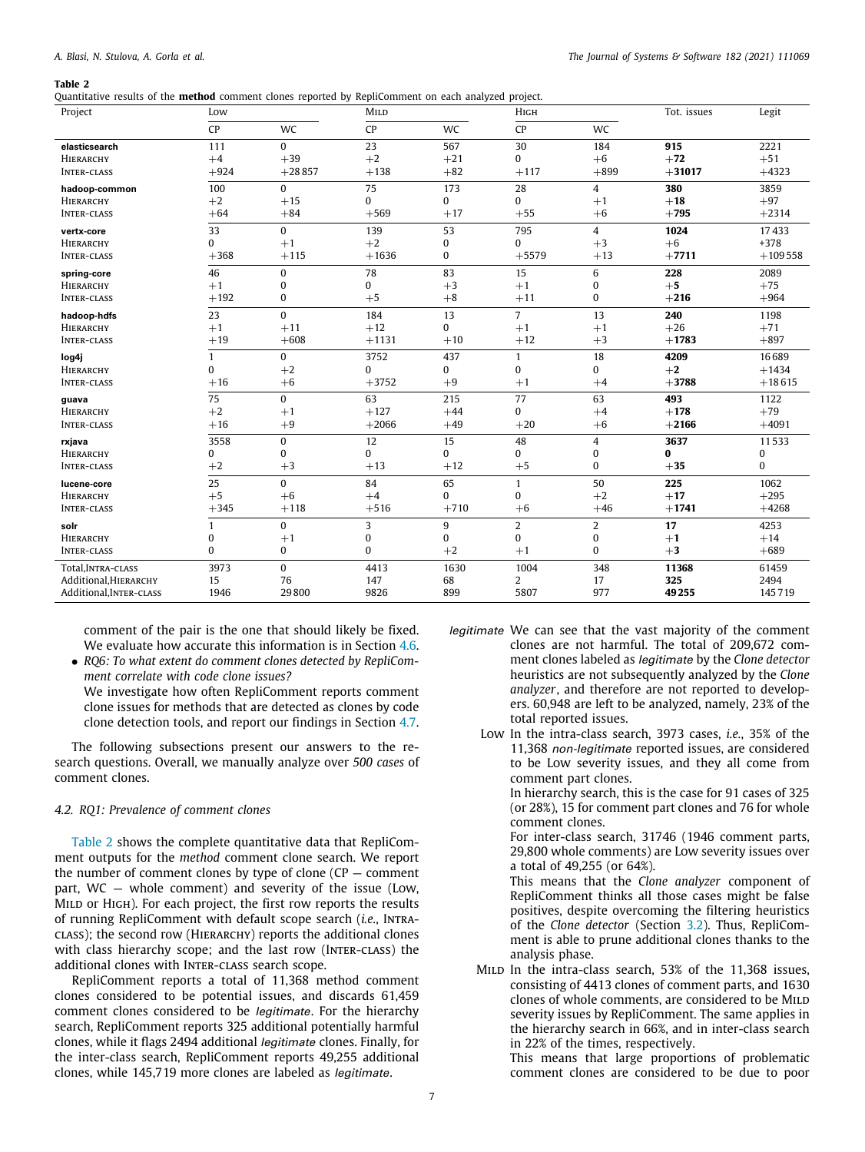<span id="page-6-1"></span>Quantitative results of the **method** comment clones reported by RepliComment on each analyzed project.

| Project                 | Low          |              | MILD     |              | Нісн           |          | Tot. issues | Legit        |
|-------------------------|--------------|--------------|----------|--------------|----------------|----------|-------------|--------------|
|                         | CP           | WC           | CP       | WC           | CP             | WC       |             |              |
| elasticsearch           | 111          | $\Omega$     | 23       | 567          | 30             | 184      | 915         | 2221         |
| HIERARCHY               | $+4$         | $+39$        | $+2$     | $+21$        | 0              | $+6$     | $+72$       | $+51$        |
| <b>INTER-CLASS</b>      | $+924$       | $+28857$     | $+138$   | $+82$        | $+117$         | $+899$   | $+31017$    | $+4323$      |
| hadoop-common           | 100          | $\mathbf{0}$ | 75       | 173          | 28             | 4        | 380         | 3859         |
| <b>HIERARCHY</b>        | $+2$         | $+15$        | $\Omega$ | $\Omega$     | 0              | $+1$     | $+18$       | $+97$        |
| <b>INTER-CLASS</b>      | $+64$        | $+84$        | $+569$   | $+17$        | $+55$          | $+6$     | $+795$      | $+2314$      |
| vertx-core              | 33           | $\bf{0}$     | 139      | 53           | 795            | 4        | 1024        | 17433        |
| HIERARCHY               | 0            | $+1$         | $+2$     | $\bf{0}$     | 0              | $+3$     | $+6$        | $+378$       |
| <b>INTER-CLASS</b>      | $+368$       | $+115$       | $+1636$  | 0            | $+5579$        | $+13$    | $+7711$     | $+109558$    |
| spring-core             | 46           | $\mathbf{0}$ | 78       | 83           | 15             | 6        | 228         | 2089         |
| HIERARCHY               | $+1$         | $\mathbf{0}$ | 0        | $+3$         | $+1$           | 0        | $+5$        | $+75$        |
| <b>INTER-CLASS</b>      | $+192$       | $\bf{0}$     | $+5$     | $+8$         | $+11$          | $\bf{0}$ | $+216$      | $+964$       |
| hadoop-hdfs             | 23           | $\Omega$     | 184      | 13           | $\overline{7}$ | 13       | 240         | 1198         |
| HIERARCHY               | $+1$         | $+11$        | $+12$    | $\Omega$     | $+1$           | $+1$     | $+26$       | $+71$        |
| <b>INTER-CLASS</b>      | $+19$        | $+608$       | $+1131$  | $+10$        | $+12$          | $+3$     | $+1783$     | $+897$       |
| log4j                   | 1            | $\mathbf{0}$ | 3752     | 437          | 1              | 18       | 4209        | 16689        |
| HIERARCHY               | 0            | $+2$         | 0        | $\mathbf{0}$ | $\bf{0}$       | $\bf{0}$ | $+2$        | $+1434$      |
| <b>INTER-CLASS</b>      | $+16$        | $+6$         | $+3752$  | $+9$         | $+1$           | $+4$     | $+3788$     | $+18615$     |
| guava                   | 75           | $\mathbf{0}$ | 63       | 215          | 77             | 63       | 493         | 1122         |
| <b>HIERARCHY</b>        | $+2$         | $+1$         | $+127$   | $+44$        | 0              | $+4$     | $+178$      | $+79$        |
| <b>INTER-CLASS</b>      | $+16$        | $+9$         | $+2066$  | $+49$        | $+20$          | $+6$     | $+2166$     | $+4091$      |
| rxjava                  | 3558         | $\mathbf{0}$ | 12       | 15           | 48             | 4        | 3637        | 11533        |
| <b>HIERARCHY</b>        | 0            | $\mathbf{0}$ | $\Omega$ | $\Omega$     | $\Omega$       | 0        | 0           | $\pmb{0}$    |
| <b>INTER-CLASS</b>      | $+2$         | $+3$         | $+13$    | $+12$        | $+5$           | $\bf{0}$ | $+35$       | $\mathbf{0}$ |
| lucene-core             | 25           | $\mathbf{0}$ | 84       | 65           | $\mathbf{1}$   | 50       | 225         | 1062         |
| HIERARCHY               | $+5$         | $+6$         | $+4$     | $\Omega$     | $\bf{0}$       | $+2$     | $+17$       | $+295$       |
| <b>INTER-CLASS</b>      | $+345$       | $+118$       | $+516$   | $+710$       | $+6$           | $+46$    | $+1741$     | $+4268$      |
| solr                    | 1            | $\mathbf{0}$ | 3        | 9            | 2              | 2        | 17          | 4253         |
| HIERARCHY               | 0            | $+1$         | 0        | $\Omega$     | $\bf{0}$       | 0        | $+1$        | $+14$        |
| <b>INTER-CLASS</b>      | $\mathbf{0}$ | 0            | $\bf{0}$ | $+2$         | $+1$           | $\bf{0}$ | $+3$        | $+689$       |
| Total, INTRA-CLASS      | 3973         | $\mathbf{0}$ | 4413     | 1630         | 1004           | 348      | 11368       | 61459        |
| Additional, HIERARCHY   | 15           | 76           | 147      | 68           | 2              | 17       | 325         | 2494         |
| Additional, INTER-CLASS | 1946         | 29800        | 9826     | 899          | 5807           | 977      | 49255       | 145719       |

comment of the pair is the one that should likely be fixed. We evaluate how accurate this information is in Section [4.6.](#page-10-0)

• *RQ6: To what extent do comment clones detected by RepliComment correlate with code clone issues?* We investigate how often RepliComment reports comment

clone issues for methods that are detected as clones by code clone detection tools, and report our findings in Section [4.7.](#page-11-1)

The following subsections present our answers to the research questions. Overall, we manually analyze over *500 cases* of comment clones.

# *4.2. RQ1: Prevalence of comment clones*

<span id="page-6-0"></span>[Table](#page-6-1) [2](#page-6-1) shows the complete quantitative data that RepliComment outputs for the *method* comment clone search. We report the number of comment clones by type of clone  $(CP -$  comment part, WC — whole comment) and severity of the issue (Low, MILD or HIGH). For each project, the first row reports the results of running RepliComment with default scope search (*i.e.*, Intraclass); the second row (Hierarchy) reports the additional clones with class hierarchy scope; and the last row (INTER-CLASS) the additional clones with INTER-CLASS search scope.

RepliComment reports a total of 11,368 method comment clones considered to be potential issues, and discards 61,459 comment clones considered to be *legitimate*. For the hierarchy search, RepliComment reports 325 additional potentially harmful clones, while it flags 2494 additional *legitimate* clones. Finally, for the inter-class search, RepliComment reports 49,255 additional clones, while 145,719 more clones are labeled as *legitimate*.

- *legitimate* We can see that the vast majority of the comment clones are not harmful. The total of 209,672 comment clones labeled as *legitimate* by the *Clone detector* heuristics are not subsequently analyzed by the *Clone analyzer*, and therefore are not reported to developers. 60,948 are left to be analyzed, namely, 23% of the total reported issues.
	- Low In the intra-class search, 3973 cases, *i.e.*, 35% of the 11,368 *non-legitimate* reported issues, are considered to be Low severity issues, and they all come from comment part clones.

In hierarchy search, this is the case for 91 cases of 325 (or 28%), 15 for comment part clones and 76 for whole comment clones.

For inter-class search, 31746 (1946 comment parts, 29,800 whole comments) are Low severity issues over a total of 49,255 (or 64%).

- This means that the *Clone analyzer* component of RepliComment thinks all those cases might be false positives, despite overcoming the filtering heuristics of the *Clone detector* (Section [3.2](#page-3-1)). Thus, RepliComment is able to prune additional clones thanks to the analysis phase.
- MILD In the intra-class search, 53% of the 11,368 issues, consisting of 4413 clones of comment parts, and 1630 clones of whole comments, are considered to be MILD severity issues by RepliComment. The same applies in the hierarchy search in 66%, and in inter-class search in 22% of the times, respectively.

This means that large proportions of problematic comment clones are considered to be due to poor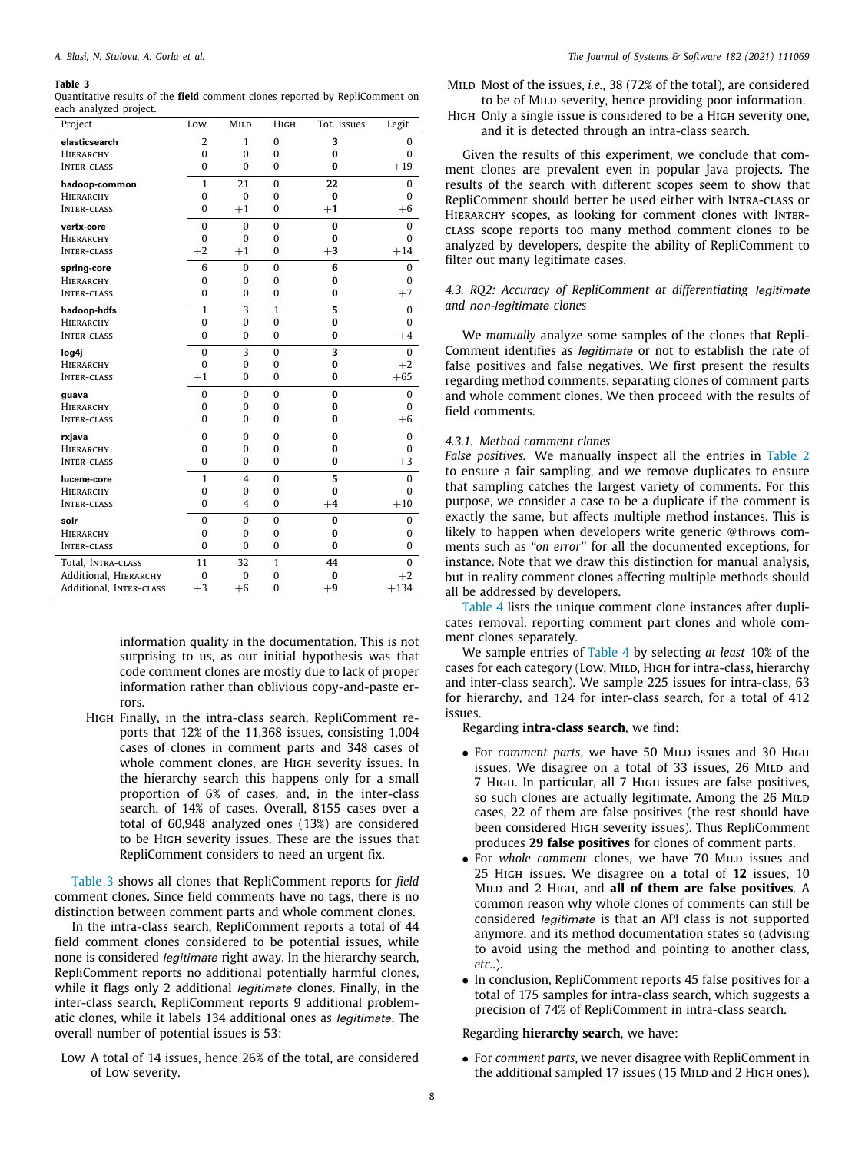| Project                 | Low            | MILD           | HIGH         | Tot. issues | Legit        |
|-------------------------|----------------|----------------|--------------|-------------|--------------|
| elasticsearch           | $\overline{2}$ | 1              | $\Omega$     | 3           | 0            |
| <b>HIERARCHY</b>        | $\theta$       | $\theta$       | $\bf{0}$     | $\bf{0}$    | $\bf{0}$     |
| <b>INTER-CLASS</b>      | $\theta$       | $\mathbf{0}$   | $\Omega$     | $\bf{0}$    | $+19$        |
| hadoop-common           | $\mathbf{1}$   | 21             | $\Omega$     | 22          | $\mathbf{0}$ |
| <b>HIERARCHY</b>        | $\mathbf{0}$   | $\Omega$       | $\Omega$     | $\bf{0}$    | $\mathbf{0}$ |
| <b>INTER-CLASS</b>      | $\mathbf{0}$   | $+1$           | $\theta$     | $+1$        | $+6$         |
| vertx-core              | $\mathbf{0}$   | $\bf{0}$       | $\theta$     | $\bf{0}$    | $\mathbf{0}$ |
| HIERARCHY               | $\Omega$       | $\Omega$       | $\theta$     | $\bf{0}$    | $\mathbf{0}$ |
| <b>INTER-CLASS</b>      | $+2$           | $+1$           | $\theta$     | $+3$        | $+14$        |
| spring-core             | 6              | $\bf{0}$       | $\Omega$     | 6           | $\bf{0}$     |
| <b>HIERARCHY</b>        | $\mathbf{0}$   | $\Omega$       | $\theta$     | $\bf{0}$    | $\mathbf{0}$ |
| <b>INTER-CLASS</b>      | $\mathbf{0}$   | $\Omega$       | $\theta$     | $\bf{0}$    | $+7$         |
| hadoop-hdfs             | $\mathbf{1}$   | 3              | $\mathbf{1}$ | 5           | $\mathbf{0}$ |
| HIERARCHY               | $\mathbf{0}$   | $\Omega$       | $\theta$     | 0           | $\mathbf{0}$ |
| <b>INTER-CLASS</b>      | $\bf{0}$       | $\Omega$       | $\mathbf{0}$ | $\bf{0}$    | $+4$         |
| log4j                   | $\theta$       | 3              | $\Omega$     | 3           | $\Omega$     |
| HIERARCHY               | $\mathbf{0}$   | $\bf{0}$       | $\mathbf{0}$ | $\bf{0}$    | $+2$         |
| <b>INTER-CLASS</b>      | $+1$           | $\Omega$       | $\theta$     | $\bf{0}$    | $+65$        |
| guava                   | $\mathbf{0}$   | $\Omega$       | $\Omega$     | $\bf{0}$    | $\mathbf{0}$ |
| HIERARCHY               | $\theta$       | $\Omega$       | $\theta$     | 0           | $\Omega$     |
| <b>INTER-CLASS</b>      | $\mathbf{0}$   | $\Omega$       | $\theta$     | $\bf{0}$    | $+6$         |
| rxjava                  | $\mathbf{0}$   | $\Omega$       | $\Omega$     | $\bf{0}$    | 0            |
| HIERARCHY               | $\mathbf{0}$   | $\bf{0}$       | 0            | 0           | 0            |
| <b>INTER-CLASS</b>      | $\mathbf{0}$   | $\Omega$       | $\Omega$     | $\bf{0}$    | $+3$         |
| lucene-core             | $\mathbf{1}$   | $\overline{4}$ | $\Omega$     | 5           | $\bf{0}$     |
| HIERARCHY               | $\mathbf 0$    | $\bf{0}$       | $\mathbf{0}$ | $\bf{0}$    | $\theta$     |
| <b>INTER-CLASS</b>      | $\bf{0}$       | 4              | $\theta$     | $+4$        | $+10$        |
| solr                    | $\bf{0}$       | $\Omega$       | $\Omega$     | $\bf{0}$    | $\bf{0}$     |
| HIERARCHY               | $\theta$       | $\mathbf{0}$   | $\Omega$     | 0           | $\mathbf{0}$ |
| <b>INTER-CLASS</b>      | $\mathbf 0$    | $\Omega$       | $\mathbf{0}$ | $\bf{0}$    | $\mathbf{0}$ |
| Total, INTRA-CLASS      | 11             | 32             | 1            | 44          | $\bf{0}$     |
| Additional, HIERARCHY   | $\bf{0}$       | $\bf{0}$       | $\mathbf{0}$ | $\bf{0}$    | $+2$         |
| Additional, INTER-CLASS | $+3$           | $+6$           | $\theta$     | $+9$        | $+134$       |

<span id="page-7-1"></span>Quantitative results of the **field** comment clones reported by RepliComment on each analyzed project.

> information quality in the documentation. This is not surprising to us, as our initial hypothesis was that code comment clones are mostly due to lack of proper information rather than oblivious copy-and-paste errors.

High Finally, in the intra-class search, RepliComment reports that 12% of the 11,368 issues, consisting 1,004 cases of clones in comment parts and 348 cases of whole comment clones, are High severity issues. In the hierarchy search this happens only for a small proportion of 6% of cases, and, in the inter-class search, of 14% of cases. Overall, 8155 cases over a total of 60,948 analyzed ones (13%) are considered to be High severity issues. These are the issues that RepliComment considers to need an urgent fix.

[Table](#page-7-1) [3](#page-7-1) shows all clones that RepliComment reports for *field* comment clones. Since field comments have no tags, there is no distinction between comment parts and whole comment clones.

In the intra-class search, RepliComment reports a total of 44 field comment clones considered to be potential issues, while none is considered *legitimate* right away. In the hierarchy search, RepliComment reports no additional potentially harmful clones, while it flags only 2 additional *legitimate* clones. Finally, in the inter-class search, RepliComment reports 9 additional problematic clones, while it labels 134 additional ones as *legitimate*. The overall number of potential issues is 53:

Low A total of 14 issues, hence 26% of the total, are considered of Low severity.

Mild Most of the issues, *i.e.*, 38 (72% of the total), are considered to be of MILD severity, hence providing poor information.

High Only a single issue is considered to be a High severity one, and it is detected through an intra-class search.

Given the results of this experiment, we conclude that comment clones are prevalent even in popular Java projects. The results of the search with different scopes seem to show that RepliComment should better be used either with Intra-class or HIERARCHY scopes, as looking for comment clones with INTERclass scope reports too many method comment clones to be analyzed by developers, despite the ability of RepliComment to filter out many legitimate cases.

# *4.3. RQ2: Accuracy of RepliComment at differentiating legitimate and non-legitimate clones*

<span id="page-7-0"></span>We *manually* analyze some samples of the clones that Repli-Comment identifies as *legitimate* or not to establish the rate of false positives and false negatives. We first present the results regarding method comments, separating clones of comment parts and whole comment clones. We then proceed with the results of field comments.

# *4.3.1. Method comment clones*

*False positives.* We manually inspect all the entries in [Table](#page-6-1) [2](#page-6-1) to ensure a fair sampling, and we remove duplicates to ensure that sampling catches the largest variety of comments. For this purpose, we consider a case to be a duplicate if the comment is exactly the same, but affects multiple method instances. This is likely to happen when developers write generic @throws comments such as *''on error''* for all the documented exceptions, for instance. Note that we draw this distinction for manual analysis, but in reality comment clones affecting multiple methods should all be addressed by developers.

[Table](#page-8-0) [4](#page-8-0) lists the unique comment clone instances after duplicates removal, reporting comment part clones and whole comment clones separately.

We sample entries of [Table](#page-8-0) [4](#page-8-0) by selecting *at least* 10% of the cases for each category (Low, MILD, HIGH for intra-class, hierarchy and inter-class search). We sample 225 issues for intra-class, 63 for hierarchy, and 124 for inter-class search, for a total of 412 issues.

Regarding **intra-class search**, we find:

- For *comment parts*, we have 50 MILD issues and 30 HIGH issues. We disagree on a total of 33 issues, 26 MILD and 7 High. In particular, all 7 High issues are false positives, so such clones are actually legitimate. Among the 26 MILD cases, 22 of them are false positives (the rest should have been considered High severity issues). Thus RepliComment produces **29 false positives** for clones of comment parts.
- For *whole comment* clones, we have 70 MILD issues and 25 High issues. We disagree on a total of **12** issues, 10 Mild and 2 High, and **all of them are false positives**. A common reason why whole clones of comments can still be considered *legitimate* is that an API class is not supported anymore, and its method documentation states so (advising to avoid using the method and pointing to another class, *etc.*.).
- In conclusion, RepliComment reports 45 false positives for a total of 175 samples for intra-class search, which suggests a precision of 74% of RepliComment in intra-class search.

# Regarding **hierarchy search**, we have:

• For *comment parts*, we never disagree with RepliComment in the additional sampled 17 issues (15 MILD and 2 HIGH ones).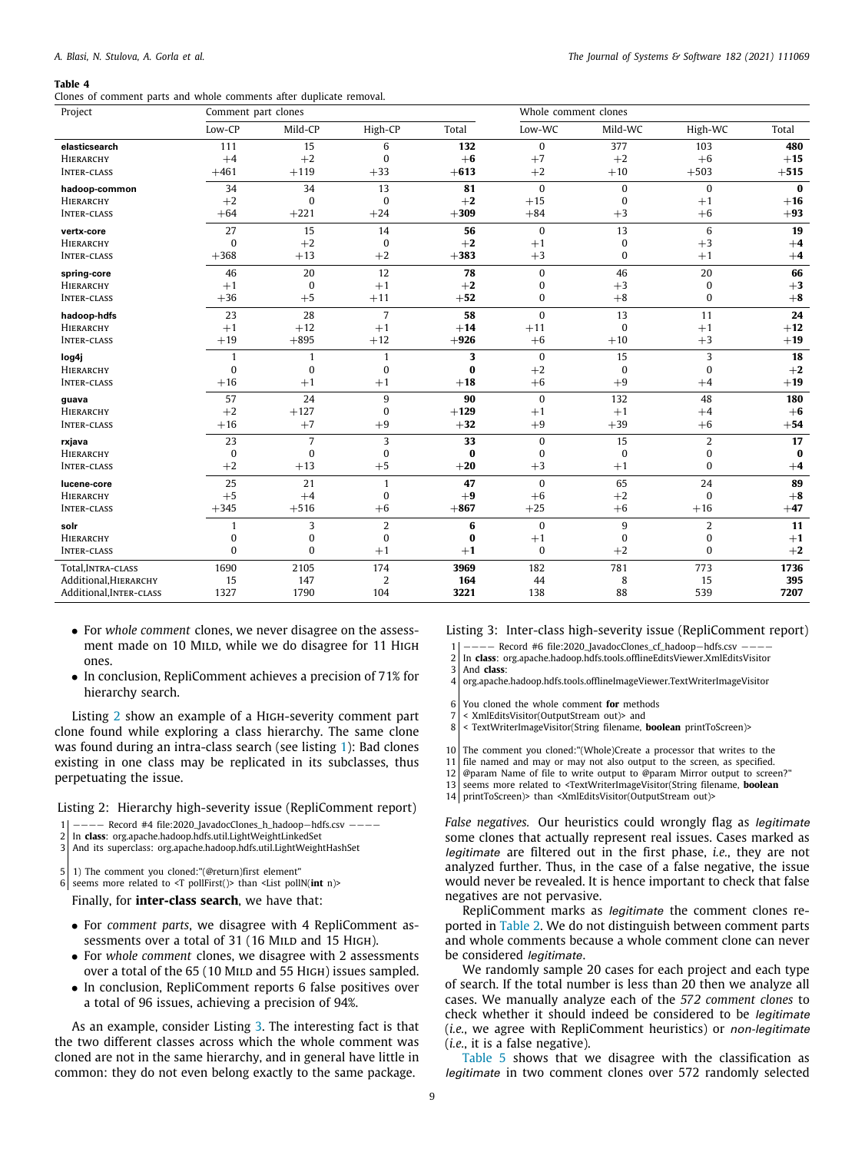<span id="page-8-0"></span>Clones of comment parts and whole comments after duplicate removal.

| Project                 | Comment part clones |                |                |          | Whole comment clones |          |                |                |
|-------------------------|---------------------|----------------|----------------|----------|----------------------|----------|----------------|----------------|
|                         | Low-CP              | Mild-CP        | High-CP        | Total    | Low-WC               | Mild-WC  | High-WC        | Total          |
| elasticsearch           | 111                 | 15             | 6              | 132      | $\mathbf{0}$         | 377      | 103            | 480            |
| HIERARCHY               | $+4$                | $+2$           | $\mathbf 0$    | $+6$     | $+7$                 | $+2$     | $+6$           | $+15$          |
| <b>INTER-CLASS</b>      | $+461$              | $+119$         | $+33$          | $+613$   | $+2$                 | $+10$    | $+503$         | $+515$         |
| hadoop-common           | 34                  | 34             | 13             | 81       | $\bf{0}$             | $\bf{0}$ | $\mathbf{0}$   | $\bf{0}$       |
| HIERARCHY               | $+2$                | $\bf{0}$       | $\mathbf{0}$   | $+2$     | $+15$                | $\bf{0}$ | $+1$           | $+16$          |
| <b>INTER-CLASS</b>      | $+64$               | $+221$         | $+24$          | $+309$   | $+84$                | $+3$     | $+6$           | $+93$          |
| vertx-core              | 27                  | 15             | 14             | 56       | $\mathbf{0}$         | 13       | 6              | 19             |
| HIERARCHY               | 0                   | $+2$           | $\mathbf 0$    | $+2$     | $+1$                 | 0        | $+3$           | $+4$           |
| <b>INTER-CLASS</b>      | $+368$              | $+13$          | $+2$           | $+383$   | $+3$                 | $\Omega$ | $+1$           | $+4$           |
| spring-core             | 46                  | 20             | 12             | 78       | $\bf{0}$             | 46       | 20             | 66             |
| HIERARCHY               | $+1$                | $\mathbf{0}$   | $+1$           | $+2$     | $\bf{0}$             | $+3$     | $\bf{0}$       | $+3$           |
| <b>INTER-CLASS</b>      | $+36$               | $+5$           | $+11$          | $+52$    | 0                    | $+8$     | 0              | $+8$           |
| hadoop-hdfs             | 23                  | 28             | $\overline{7}$ | 58       | $\mathbf{0}$         | 13       | 11             | 24             |
| HIERARCHY               | $+1$                | $+12$          | $+1$           | $+14$    | $+11$                | $\bf{0}$ | $+1$           | $+12$          |
| <b>INTER-CLASS</b>      | $+19$               | $+895$         | $+12$          | $+926$   | $+6$                 | $+10$    | $+3$           | $+19$          |
| log4j                   | 1                   | 1              | 1              | 3        | $\bf{0}$             | 15       | 3              | 18             |
| HIERARCHY               | 0                   | $\mathbf{0}$   | $\mathbf{0}$   | $\bf{0}$ | $+2$                 | 0        | $\mathbf{0}$   | $+2$           |
| <b>INTER-CLASS</b>      | $+16$               | $+1$           | $+1$           | $+18$    | $+6$                 | $+9$     | $+4$           | $+\mathbf{19}$ |
| guava                   | 57                  | 24             | 9              | 90       | $\bf{0}$             | 132      | 48             | 180            |
| HIERARCHY               | $+2$                | $+127$         | $\bf{0}$       | $+129$   | $+1$                 | $+1$     | $+4$           | $+6$           |
| <b>INTER-CLASS</b>      | $+16$               | $+7$           | $+9$           | $+32$    | $+9$                 | $+39$    | $+6$           | $+54$          |
| rxjava                  | 23                  | $\overline{7}$ | 3              | 33       | $\bf{0}$             | 15       | $\overline{2}$ | 17             |
| <b>HIERARCHY</b>        | $\mathbf{0}$        | $\Omega$       | $\Omega$       | 0        | $\bf{0}$             | $\bf{0}$ | 0              | $\bf{0}$       |
| <b>INTER-CLASS</b>      | $+2$                | $+13$          | $+5$           | $+20$    | $+3$                 | $+1$     | $\Omega$       | $+4$           |
| lucene-core             | 25                  | 21             | $\mathbf{1}$   | 47       | $\bf{0}$             | 65       | 24             | 89             |
| HIERARCHY               | $+5$                | $+4$           | $\mathbf 0$    | $+9$     | $+6$                 | $+2$     | $\Omega$       | $+8$           |
| <b>INTER-CLASS</b>      | $+345$              | $+516$         | $+6$           | $+867$   | $+25$                | $+6$     | $+16$          | $+47$          |
| solr                    | 1                   | 3              | $\overline{2}$ | 6        | $\bf{0}$             | 9        | 2              | 11             |
| HIERARCHY               | $\mathbf{0}$        | $\Omega$       | $\bf{0}$       | 0        | $+1$                 | 0        | 0              | $+1$           |
| <b>INTER-CLASS</b>      | $\Omega$            | $\Omega$       | $+1$           | $+1$     | $\bf{0}$             | $+2$     | $\Omega$       | $+2$           |
| Total, INTRA-CLASS      | 1690                | 2105           | 174            | 3969     | 182                  | 781      | 773            | 1736           |
| Additional, HIERARCHY   | 15                  | 147            | 2              | 164      | 44                   | 8        | 15             | 395            |
| Additional, INTER-CLASS | 1327                | 1790           | 104            | 3221     | 138                  | 88       | 539            | 7207           |

- For *whole comment* clones, we never disagree on the assessment made on 10 MILD, while we do disagree for 11 HIGH ones.
- In conclusion, RepliComment achieves a precision of 71% for hierarchy search.

Listing [2](#page-8-1) show an example of a High-severity comment part clone found while exploring a class hierarchy. The same clone was found during an intra-class search (see listing [1](#page-5-1)): Bad clones existing in one class may be replicated in its subclasses, thus perpetuating the issue.

<span id="page-8-1"></span>Listing 2: Hierarchy high-severity issue (RepliComment report)

- 1 −−−− Record #4 file:2020\_JavadocClones\_h\_hadoop−hdfs.csv −−−−
- 2 In **class**: org.apache.hadoop.hdfs.util.LightWeightLinkedSet
- 3 And its superclass: org.apache.hadoop.hdfs.util.LightWeightHashSet
- $5|1$ ) The comment you cloned:"(@return)first element"
- 6 seems more related to <T pollFirst()> than <List pollN(**int** n)>

Finally, for **inter-class search**, we have that:

- For *comment parts*, we disagree with 4 RepliComment assessments over a total of 31 (16 MILD and 15 HIGH).
- For *whole comment* clones, we disagree with 2 assessments over a total of the 65 (10 MILD and 55 HIGH) issues sampled.
- In conclusion, RepliComment reports 6 false positives over a total of 96 issues, achieving a precision of 94%.

As an example, consider Listing [3](#page-8-2). The interesting fact is that the two different classes across which the whole comment was cloned are not in the same hierarchy, and in general have little in common: they do not even belong exactly to the same package.

<span id="page-8-2"></span>Listing 3: Inter-class high-severity issue (RepliComment report)

− Record #6 file:2020\_JavadocClones\_cf\_hadoop−hdfs.csv −−−

- 2 In **class**: org.apache.hadoop.hdfs.tools.offlineEditsViewer.XmlEditsVisitor
- 3 And **class**:<br>4 org.apache 4 org.apache.hadoop.hdfs.tools.offlineImageViewer.TextWriterImageVisitor
- 
- 6 You cloned the whole comment **for** methods 7 < XmlEditsVisitor(OutputStream out)> and
- 8 < TextWriterImageVisitor(String filename, **boolean** printToScreen)>
- 
- 10 The comment you cloned:"(Whole)Create a processor that writes to the
- 11 file named and may or may not also output to the screen, as specified. 12 @param Name of file to write output to @param Mirror output to screen?"
- 13 seems more related to <TextWriterImageVisitor(String filename, **boolean**
- 14 printToScreen)> than <XmlEditsVisitor(OutputStream out)>
- 

*False negatives.* Our heuristics could wrongly flag as *legitimate* some clones that actually represent real issues. Cases marked as *legitimate* are filtered out in the first phase, *i.e.*, they are not analyzed further. Thus, in the case of a false negative, the issue would never be revealed. It is hence important to check that false negatives are not pervasive.

RepliComment marks as *legitimate* the comment clones reported in [Table](#page-6-1) [2](#page-6-1). We do not distinguish between comment parts and whole comments because a whole comment clone can never be considered *legitimate*.

We randomly sample 20 cases for each project and each type of search. If the total number is less than 20 then we analyze all cases. We manually analyze each of the *572 comment clones* to check whether it should indeed be considered to be *legitimate* (*i.e.*, we agree with RepliComment heuristics) or *non-legitimate* (*i.e.*, it is a false negative).

[Table](#page-9-2) [5](#page-9-2) shows that we disagree with the classification as *legitimate* in two comment clones over 572 randomly selected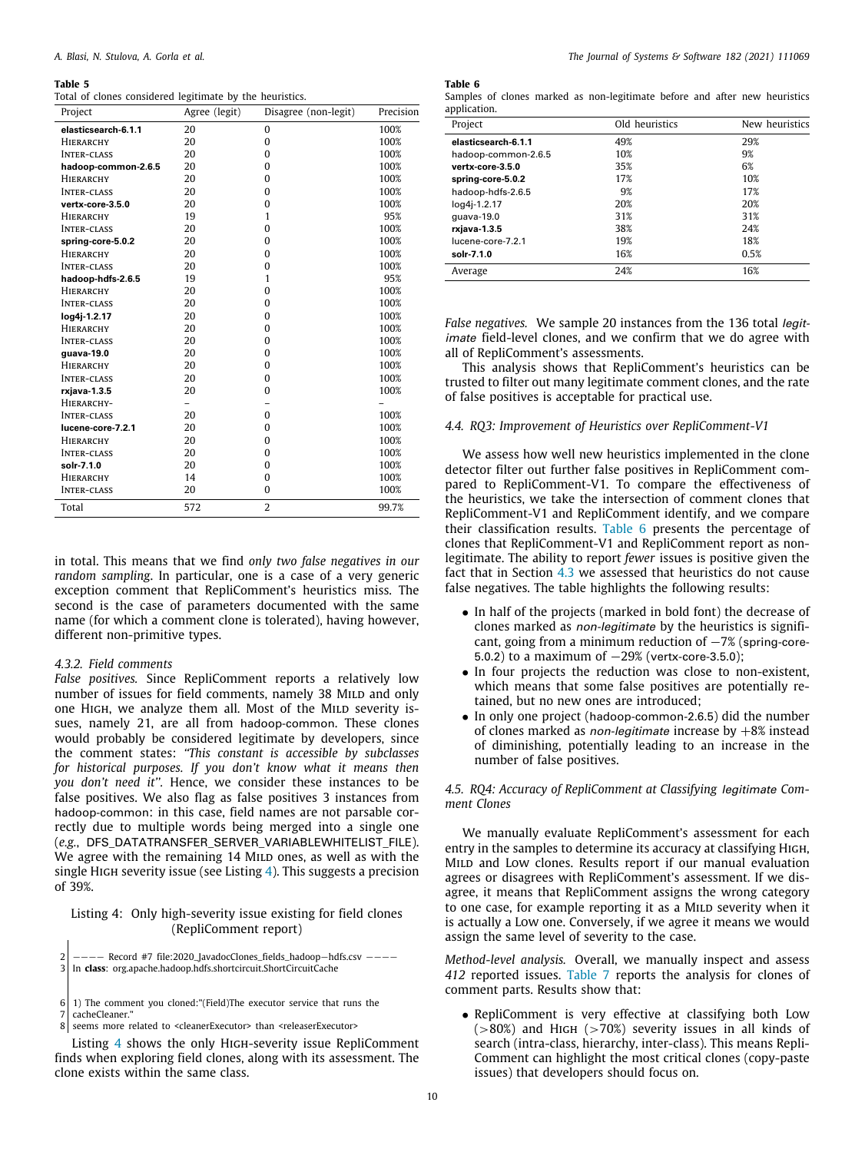<span id="page-9-2"></span>Total of clones considered legitimate by the heuristics.

| Project             | Agree (legit) | Disagree (non-legit) | Precision |
|---------------------|---------------|----------------------|-----------|
| elasticsearch-6.1.1 | 20            | $\bf{0}$             | 100%      |
| <b>HIERARCHY</b>    | 20            | $\mathbf{0}$         | 100%      |
| <b>INTER-CLASS</b>  | 20            | $\mathbf{0}$         | 100%      |
| hadoop-common-2.6.5 | 20            | $\mathbf{0}$         | 100%      |
| <b>HIERARCHY</b>    | 20            | $\mathbf{0}$         | 100%      |
| <b>INTER-CLASS</b>  | 20            | $\mathbf{0}$         | 100%      |
| vertx-core-3.5.0    | 20            | $\mathbf{0}$         | 100%      |
| HIERARCHY           | 19            | 1                    | 95%       |
| <b>INTER-CLASS</b>  | 20            | $\mathbf{0}$         | 100%      |
| spring-core-5.0.2   | 20            | $\mathbf{0}$         | 100%      |
| <b>HIERARCHY</b>    | 20            | $\Omega$             | 100%      |
| <b>INTER-CLASS</b>  | 20            | $\mathbf{0}$         | 100%      |
| hadoop-hdfs-2.6.5   | 19            | 1                    | 95%       |
| HIERARCHY           | 20            | $\mathbf{0}$         | 100%      |
| <b>INTER-CLASS</b>  | 20            | $\mathbf{0}$         | 100%      |
| log4j-1.2.17        | 20            | $\mathbf{0}$         | 100%      |
| HIERARCHY           | 20            | $\Omega$             | 100%      |
| <b>INTER-CLASS</b>  | 20            | $\mathbf{0}$         | 100%      |
| guava-19.0          | 20            | $\mathbf{0}$         | 100%      |
| <b>HIERARCHY</b>    | 20            | $\mathbf{0}$         | 100%      |
| <b>INTER-CLASS</b>  | 20            | $\mathbf{0}$         | 100%      |
| rxjava-1.3.5        | 20            | $\mathbf{0}$         | 100%      |
| HIERARCHY-          |               |                      |           |
| <b>INTER-CLASS</b>  | 20            | $\Omega$             | 100%      |
| lucene-core-7.2.1   | 20            | $\Omega$             | 100%      |
| <b>HIERARCHY</b>    | 20            | $\mathbf{0}$         | 100%      |
| <b>INTER-CLASS</b>  | 20            | $\mathbf{0}$         | 100%      |
| solr-7.1.0          | 20            | $\mathbf{0}$         | 100%      |
| HIERARCHY           | 14            | $\mathbf{0}$         | 100%      |
| <b>INTER-CLASS</b>  | 20            | $\mathbf{0}$         | 100%      |
| Total               | 572           | $\overline{2}$       | 99.7%     |

in total. This means that we find *only two false negatives in our random sampling*. In particular, one is a case of a very generic exception comment that RepliComment's heuristics miss. The second is the case of parameters documented with the same name (for which a comment clone is tolerated), having however, different non-primitive types.

### *4.3.2. Field comments*

*False positives.* Since RepliComment reports a relatively low number of issues for field comments, namely 38 MILD and only one HIGH, we analyze them all. Most of the MILD severity issues, namely 21, are all from hadoop-common. These clones would probably be considered legitimate by developers, since the comment states: *''This constant is accessible by subclasses for historical purposes. If you don't know what it means then you don't need it''.* Hence, we consider these instances to be false positives. We also flag as false positives 3 instances from hadoop-common: in this case, field names are not parsable correctly due to multiple words being merged into a single one (*e.g.*, DFS\_DATATRANSFER\_SERVER\_VARIABLEWHITELIST\_FILE). We agree with the remaining 14 MILD ones, as well as with the single HIGH severity issue (see Listing  $4$ ). This suggests a precision of 39%.

# <span id="page-9-3"></span>Listing 4: Only high-severity issue existing for field clones (RepliComment report)

2 −−−− Record #7 file:2020\_JavadocClones\_fields\_hadoop−hdfs.csv −−−− 3 In **class**: org.apache.hadoop.hdfs.shortcircuit.ShortCircuitCache

seems more related to <cleanerExecutor> than <releaserExecutor>

Listing [4](#page-9-3) shows the only High-severity issue RepliComment finds when exploring field clones, along with its assessment. The clone exists within the same class.

**Table 6**

<span id="page-9-4"></span>Samples of clones marked as non-legitimate before and after new heuristics application.

| Project             | Old heuristics | New heuristics |
|---------------------|----------------|----------------|
| elasticsearch-6.1.1 | 49%            | 29%            |
| hadoop-common-2.6.5 | 10%            | 9%             |
| vertx-core-3.5.0    | 35%            | 6%             |
| spring-core-5.0.2   | 17%            | 10%            |
| hadoop-hdfs-2.6.5   | 9%             | 17%            |
| log4j-1.2.17        | 20%            | 20%            |
| guava-19.0          | 31%            | 31%            |
| rxjava-1.3.5        | 38%            | 24%            |
| lucene-core-7.2.1   | 19%            | 18%            |
| solr-7.1.0          | 16%            | 0.5%           |
| Average             | 24%            | 16%            |

*False negatives.* We sample 20 instances from the 136 total *legitimate* field-level clones, and we confirm that we do agree with all of RepliComment's assessments.

This analysis shows that RepliComment's heuristics can be trusted to filter out many legitimate comment clones, and the rate of false positives is acceptable for practical use.

#### *4.4. RQ3: Improvement of Heuristics over RepliComment-V1*

<span id="page-9-0"></span>We assess how well new heuristics implemented in the clone detector filter out further false positives in RepliComment compared to RepliComment-V1. To compare the effectiveness of the heuristics, we take the intersection of comment clones that RepliComment-V1 and RepliComment identify, and we compare their classification results. [Table](#page-9-4) [6](#page-9-4) presents the percentage of clones that RepliComment-V1 and RepliComment report as nonlegitimate. The ability to report *fewer* issues is positive given the fact that in Section [4.3](#page-7-0) we assessed that heuristics do not cause false negatives. The table highlights the following results:

- In half of the projects (marked in bold font) the decrease of clones marked as *non-legitimate* by the heuristics is significant, going from a minimum reduction of −7% (spring-core-5.0.2) to a maximum of −29% (vertx-core-3.5.0);
- In four projects the reduction was close to non-existent, which means that some false positives are potentially retained, but no new ones are introduced;
- In only one project (hadoop-common-2.6.5) did the number of clones marked as *non-legitimate* increase by +8% instead of diminishing, potentially leading to an increase in the number of false positives.

# *4.5. RQ4: Accuracy of RepliComment at Classifying legitimate Comment Clones*

<span id="page-9-1"></span>We manually evaluate RepliComment's assessment for each entry in the samples to determine its accuracy at classifying High, MILD and Low clones. Results report if our manual evaluation agrees or disagrees with RepliComment's assessment. If we disagree, it means that RepliComment assigns the wrong category to one case, for example reporting it as a MILD severity when it is actually a Low one. Conversely, if we agree it means we would assign the same level of severity to the case.

*Method-level analysis.* Overall, we manually inspect and assess *412* reported issues. [Table](#page-10-1) [7](#page-10-1) reports the analysis for clones of comment parts. Results show that:

• RepliComment is very effective at classifying both Low  $(>80%)$  and HIGH  $(>70%)$  severity issues in all kinds of search (intra-class, hierarchy, inter-class). This means Repli-Comment can highlight the most critical clones (copy-paste issues) that developers should focus on.

 $6|1$ ) The comment you cloned:"(Field)The executor service that runs the

<sup>7</sup> cacheCleaner."<br>8 seems more r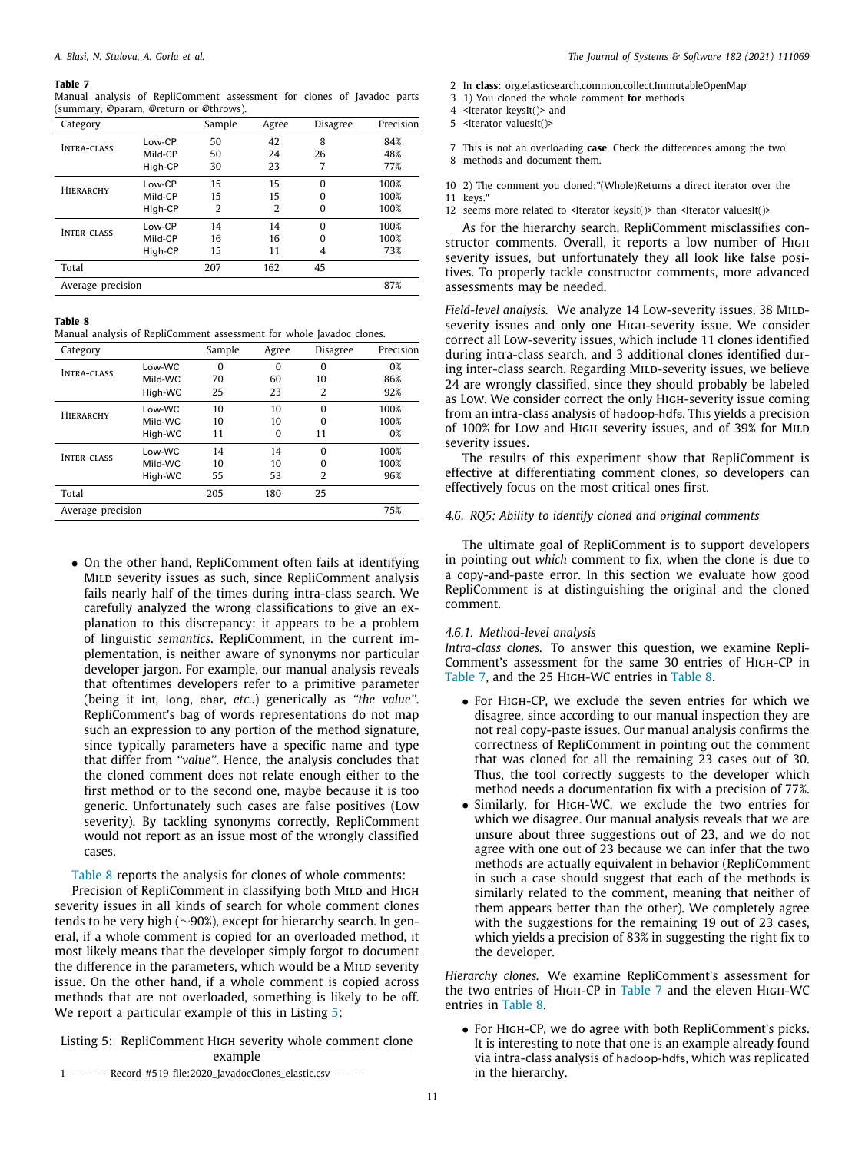<span id="page-10-1"></span>Manual analysis of RepliComment assessment for clones of Javadoc parts (summary, @param, @return or @throws).

| Category           |         | Sample         | Agree | <b>Disagree</b> | Precision |
|--------------------|---------|----------------|-------|-----------------|-----------|
|                    | Low-CP  | 50             | 42    | 8               | 84%       |
| <b>INTRA-CLASS</b> | Mild-CP | 50             | 24    | 26              | 48%       |
|                    | High-CP | 30             | 23    | 7               | 77%       |
| <b>HIERARCHY</b>   | Low-CP  | 15             | 15    | $\Omega$        | 100%      |
|                    | Mild-CP | 15             | 15    | $\Omega$        | 100%      |
|                    | High-CP | $\overline{2}$ | 2     | $\Omega$        | 100%      |
| <b>INTER-CLASS</b> | Low-CP  | 14             | 14    | $\Omega$        | 100%      |
|                    | Mild-CP | 16             | 16    | $\Omega$        | 100%      |
|                    | High-CP | 15             | 11    | 4               | 73%       |
| Total              |         | 207            | 162   | 45              |           |
| Average precision  |         |                |       |                 | 87%       |

# **Table 8**

<span id="page-10-2"></span>Manual analysis of RepliComment assessment for whole Javadoc clones.

| Category           |         | Sample   | Agree    | Disagree | Precision |  |
|--------------------|---------|----------|----------|----------|-----------|--|
| <b>INTRA-CLASS</b> | Low-WC  | $\Omega$ | $\Omega$ | $\Omega$ | 0%        |  |
|                    | Mild-WC | 70       | 60       | 10       | 86%       |  |
|                    | High-WC | 25       | 23       | 2        | 92%       |  |
| HIERARCHY          | Low-WC  | 10       | 10       | $\Omega$ | 100%      |  |
|                    | Mild-WC | 10       | 10       | $\Omega$ | 100%      |  |
|                    | High-WC | 11       | $\Omega$ | 11       | 0%        |  |
| <b>INTER-CLASS</b> | Low-WC  | 14       | 14       | $\Omega$ | 100%      |  |
|                    | Mild-WC | 10       | 10       | $\Omega$ | 100%      |  |
|                    | High-WC | 55       | 53       | 2        | 96%       |  |
| Total              |         | 205      | 180      | 25       |           |  |
| Average precision  |         |          |          |          |           |  |

• On the other hand, RepliComment often fails at identifying MILD severity issues as such, since RepliComment analysis fails nearly half of the times during intra-class search. We carefully analyzed the wrong classifications to give an explanation to this discrepancy: it appears to be a problem of linguistic *semantics*. RepliComment, in the current implementation, is neither aware of synonyms nor particular developer jargon. For example, our manual analysis reveals that oftentimes developers refer to a primitive parameter (being it int, long, char, *etc.*.) generically as *''the value''*. RepliComment's bag of words representations do not map such an expression to any portion of the method signature, since typically parameters have a specific name and type that differ from *''value''*. Hence, the analysis concludes that the cloned comment does not relate enough either to the first method or to the second one, maybe because it is too generic. Unfortunately such cases are false positives (Low severity). By tackling synonyms correctly, RepliComment would not report as an issue most of the wrongly classified cases.

# [Table](#page-10-2) [8](#page-10-2) reports the analysis for clones of whole comments:

Precision of RepliComment in classifying both MILD and HIGH severity issues in all kinds of search for whole comment clones tends to be very high (∼90%), except for hierarchy search. In general, if a whole comment is copied for an overloaded method, it most likely means that the developer simply forgot to document the difference in the parameters, which would be a MILD severity issue. On the other hand, if a whole comment is copied across methods that are not overloaded, something is likely to be off. We report a particular example of this in Listing [5](#page-10-3):

# <span id="page-10-3"></span>Listing 5: RepliComment High severity whole comment clone example

- 2<sup>1</sup> In **class**: org.elasticsearch.common.collect.ImmutableOpenMap
- $\begin{bmatrix} 3 & 1 \end{bmatrix}$  You cloned the whole comment **for** methods  $\begin{bmatrix} 4 & 5 \end{bmatrix}$  strep keystr() and

7 This is not an overloading **case**. Check the differences among the two 8 methods and document them.

10 2) The comment you cloned:"(Whole)Returns a direct iterator over the 11 keys."

12 seems more related to <Iterator keysIt()> than <Iterator valuesIt()>

As for the hierarchy search, RepliComment misclassifies constructor comments. Overall, it reports a low number of High severity issues, but unfortunately they all look like false positives. To properly tackle constructor comments, more advanced assessments may be needed.

Field-level analysis. We analyze 14 Low-severity issues, 38 MILDseverity issues and only one High-severity issue. We consider correct all Low-severity issues, which include 11 clones identified during intra-class search, and 3 additional clones identified during inter-class search. Regarding MILD-severity issues, we believe 24 are wrongly classified, since they should probably be labeled as Low. We consider correct the only High-severity issue coming from an intra-class analysis of hadoop-hdfs. This yields a precision of 100% for Low and High severity issues, and of 39% for MILD severity issues.

The results of this experiment show that RepliComment is effective at differentiating comment clones, so developers can effectively focus on the most critical ones first.

#### *4.6. RQ5: Ability to identify cloned and original comments*

<span id="page-10-0"></span>The ultimate goal of RepliComment is to support developers in pointing out *which* comment to fix, when the clone is due to a copy-and-paste error. In this section we evaluate how good RepliComment is at distinguishing the original and the cloned comment.

## *4.6.1. Method-level analysis*

*Intra-class clones.* To answer this question, we examine Repli-Comment's assessment for the same 30 entries of High-CP in [Table](#page-10-2) [7,](#page-10-1) and the 25 HIGH-WC entries in Table [8.](#page-10-2)

- For High-CP, we exclude the seven entries for which we disagree, since according to our manual inspection they are not real copy-paste issues. Our manual analysis confirms the correctness of RepliComment in pointing out the comment that was cloned for all the remaining 23 cases out of 30. Thus, the tool correctly suggests to the developer which method needs a documentation fix with a precision of 77%.
- Similarly, for HIGH-WC, we exclude the two entries for which we disagree. Our manual analysis reveals that we are unsure about three suggestions out of 23, and we do not agree with one out of 23 because we can infer that the two methods are actually equivalent in behavior (RepliComment in such a case should suggest that each of the methods is similarly related to the comment, meaning that neither of them appears better than the other). We completely agree with the suggestions for the remaining 19 out of 23 cases, which yields a precision of 83% in suggesting the right fix to the developer.

*Hierarchy clones.* We examine RepliComment's assessment for the two entries of High-CP in [Table](#page-10-1) [7](#page-10-1) and the eleven High-WC entries in [Table](#page-10-2) [8](#page-10-2).

• For HIGH-CP, we do agree with both RepliComment's picks. It is interesting to note that one is an example already found via intra-class analysis of hadoop-hdfs, which was replicated in the hierarchy.

1 −−−− Record #519 file:2020\_JavadocClones\_elastic.csv −−−−

<sup>4 &</sup>lt;Iterator keysIt( $>$  and 5 <Iterator valuesIt( $>$ 

<sup>5 &</sup>lt;Iterator valuesIt()>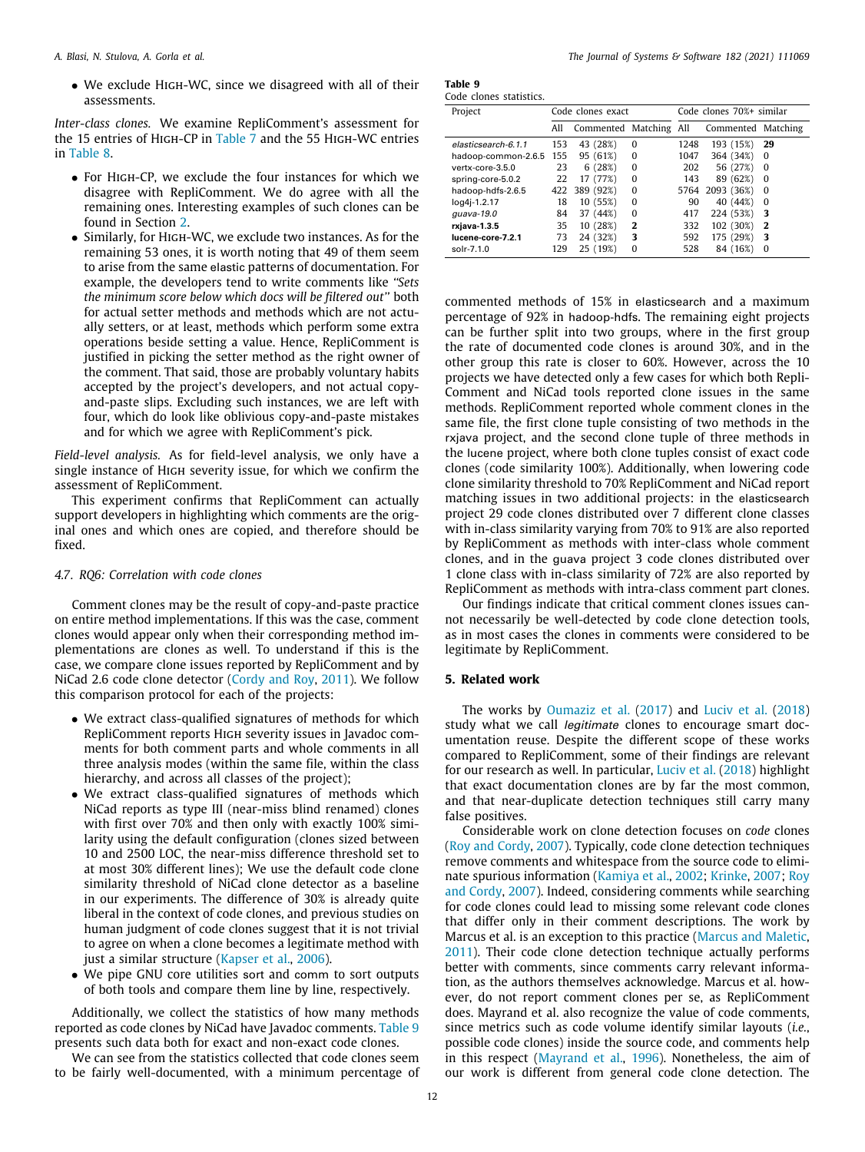• We exclude High-WC, since we disagreed with all of their assessments.

*Inter-class clones.* We examine RepliComment's assessment for the 15 entries of High-CP in [Table](#page-10-1) [7](#page-10-1) and the 55 High-WC entries in [Table](#page-10-2) [8](#page-10-2).

- For High-CP, we exclude the four instances for which we disagree with RepliComment. We do agree with all the remaining ones. Interesting examples of such clones can be found in Section [2.](#page-1-0)
- Similarly, for HIGH-WC, we exclude two instances. As for the remaining 53 ones, it is worth noting that 49 of them seem to arise from the same elastic patterns of documentation. For example, the developers tend to write comments like *''Sets the minimum score below which docs will be filtered out''* both for actual setter methods and methods which are not actually setters, or at least, methods which perform some extra operations beside setting a value. Hence, RepliComment is justified in picking the setter method as the right owner of the comment. That said, those are probably voluntary habits accepted by the project's developers, and not actual copyand-paste slips. Excluding such instances, we are left with four, which do look like oblivious copy-and-paste mistakes and for which we agree with RepliComment's pick.

*Field-level analysis.* As for field-level analysis, we only have a single instance of HIGH severity issue, for which we confirm the assessment of RepliComment.

This experiment confirms that RepliComment can actually support developers in highlighting which comments are the original ones and which ones are copied, and therefore should be fixed.

#### *4.7. RQ6: Correlation with code clones*

<span id="page-11-1"></span>Comment clones may be the result of copy-and-paste practice on entire method implementations. If this was the case, comment clones would appear only when their corresponding method implementations are clones as well. To understand if this is the case, we compare clone issues reported by RepliComment and by NiCad 2.6 code clone detector ([Cordy and Roy,](#page-12-10) [2011\)](#page-12-10). We follow this comparison protocol for each of the projects:

- We extract class-qualified signatures of methods for which RepliComment reports High severity issues in Javadoc comments for both comment parts and whole comments in all three analysis modes (within the same file, within the class hierarchy, and across all classes of the project);
- We extract class-qualified signatures of methods which NiCad reports as type III (near-miss blind renamed) clones with first over 70% and then only with exactly 100% similarity using the default configuration (clones sized between 10 and 2500 LOC, the near-miss difference threshold set to at most 30% different lines); We use the default code clone similarity threshold of NiCad clone detector as a baseline in our experiments. The difference of 30% is already quite liberal in the context of code clones, and previous studies on human judgment of code clones suggest that it is not trivial to agree on when a clone becomes a legitimate method with just a similar structure [\(Kapser et al.,](#page-12-11) [2006\)](#page-12-11).
- We pipe GNU core utilities sort and comm to sort outputs of both tools and compare them line by line, respectively.

Additionally, we collect the statistics of how many methods reported as code clones by NiCad have Javadoc comments. [Table](#page-11-2) [9](#page-11-2) presents such data both for exact and non-exact code clones.

We can see from the statistics collected that code clones seem to be fairly well-documented, with a minimum percentage of

<span id="page-11-2"></span>

| Table 9 |                        |
|---------|------------------------|
|         | Code clones statistics |

| Project             | Code clones exact |                        |              | Code clones 70%+ similar |                    |          |
|---------------------|-------------------|------------------------|--------------|--------------------------|--------------------|----------|
|                     | All               | Commented Matching All |              |                          | Commented Matching |          |
| elasticsearch-6.1.1 | 153               | 43 (28%)               | $\Omega$     | 1248                     | 193 (15%)          | 29       |
| hadoop-common-2.6.5 | 155               | 95 (61%)               | $\Omega$     | 1047                     | 364 (34%)          | $\Omega$ |
| vertx-core-3.5.0    | 23                | 6(28%)                 | $\Omega$     | 202                      | 56 (27%)           | $\Omega$ |
| spring-core-5.0.2   | 22                | 17 (77%)               | $\Omega$     | 143                      | 89 (62%)           | $\Omega$ |
| hadoop-hdfs-2.6.5   |                   | 422 389 (92%)          | $\Omega$     |                          | 5764 2093 (36%)    | 0        |
| log4j-1.2.17        | 18                | 10 (55%)               | $\Omega$     | 90                       | 40 (44%)           | $\Omega$ |
| guava-19.0          | 84                | 37 (44%)               | $\Omega$     | 417                      | 224 (53%)          | 3        |
| rxjava-1.3.5        | 35                | 10 (28%)               | $\mathbf{2}$ | 332                      | 102 (30%)          | 2        |
| lucene-core-7.2.1   | 73                | 24 (32%)               | 3            | 592                      | 175 (29%)          | 3        |
| solr-7.1.0          | 129               | 25 (19%)               | $\Omega$     | 528                      | 84 (16%)           | 0        |
|                     |                   |                        |              |                          |                    |          |

commented methods of 15% in elasticsearch and a maximum percentage of 92% in hadoop-hdfs. The remaining eight projects can be further split into two groups, where in the first group the rate of documented code clones is around 30%, and in the other group this rate is closer to 60%. However, across the 10 projects we have detected only a few cases for which both Repli-Comment and NiCad tools reported clone issues in the same methods. RepliComment reported whole comment clones in the same file, the first clone tuple consisting of two methods in the rxjava project, and the second clone tuple of three methods in the lucene project, where both clone tuples consist of exact code clones (code similarity 100%). Additionally, when lowering code clone similarity threshold to 70% RepliComment and NiCad report matching issues in two additional projects: in the elasticsearch project 29 code clones distributed over 7 different clone classes with in-class similarity varying from 70% to 91% are also reported by RepliComment as methods with inter-class whole comment clones, and in the guava project 3 code clones distributed over 1 clone class with in-class similarity of 72% are also reported by RepliComment as methods with intra-class comment part clones.

Our findings indicate that critical comment clones issues cannot necessarily be well-detected by code clone detection tools, as in most cases the clones in comments were considered to be legitimate by RepliComment.

#### **5. Related work**

<span id="page-11-0"></span>The works by [Oumaziz et al.](#page-13-5) ([2017](#page-13-5)) and [Luciv et al.](#page-12-12) [\(2018\)](#page-12-12) study what we call *legitimate* clones to encourage smart documentation reuse. Despite the different scope of these works compared to RepliComment, some of their findings are relevant for our research as well. In particular, [Luciv et al.](#page-12-12) ([2018\)](#page-12-12) highlight that exact documentation clones are by far the most common, and that near-duplicate detection techniques still carry many false positives.

Considerable work on clone detection focuses on *code* clones ([Roy and Cordy](#page-13-3), [2007\)](#page-13-3). Typically, code clone detection techniques remove comments and whitespace from the source code to eliminate spurious information ([Kamiya et al.](#page-12-13), [2002](#page-12-13); [Krinke,](#page-12-14) [2007](#page-12-14); [Roy](#page-13-3) [and Cordy,](#page-13-3) [2007](#page-13-3)). Indeed, considering comments while searching for code clones could lead to missing some relevant code clones that differ only in their comment descriptions. The work by Marcus et al. is an exception to this practice [\(Marcus and Maletic,](#page-12-15) [2011\)](#page-12-15). Their code clone detection technique actually performs better with comments, since comments carry relevant information, as the authors themselves acknowledge. Marcus et al. however, do not report comment clones per se, as RepliComment does. Mayrand et al. also recognize the value of code comments, since metrics such as code volume identify similar layouts (*i.e.*, possible code clones) inside the source code, and comments help in this respect ([Mayrand et al.,](#page-12-16) [1996\)](#page-12-16). Nonetheless, the aim of our work is different from general code clone detection. The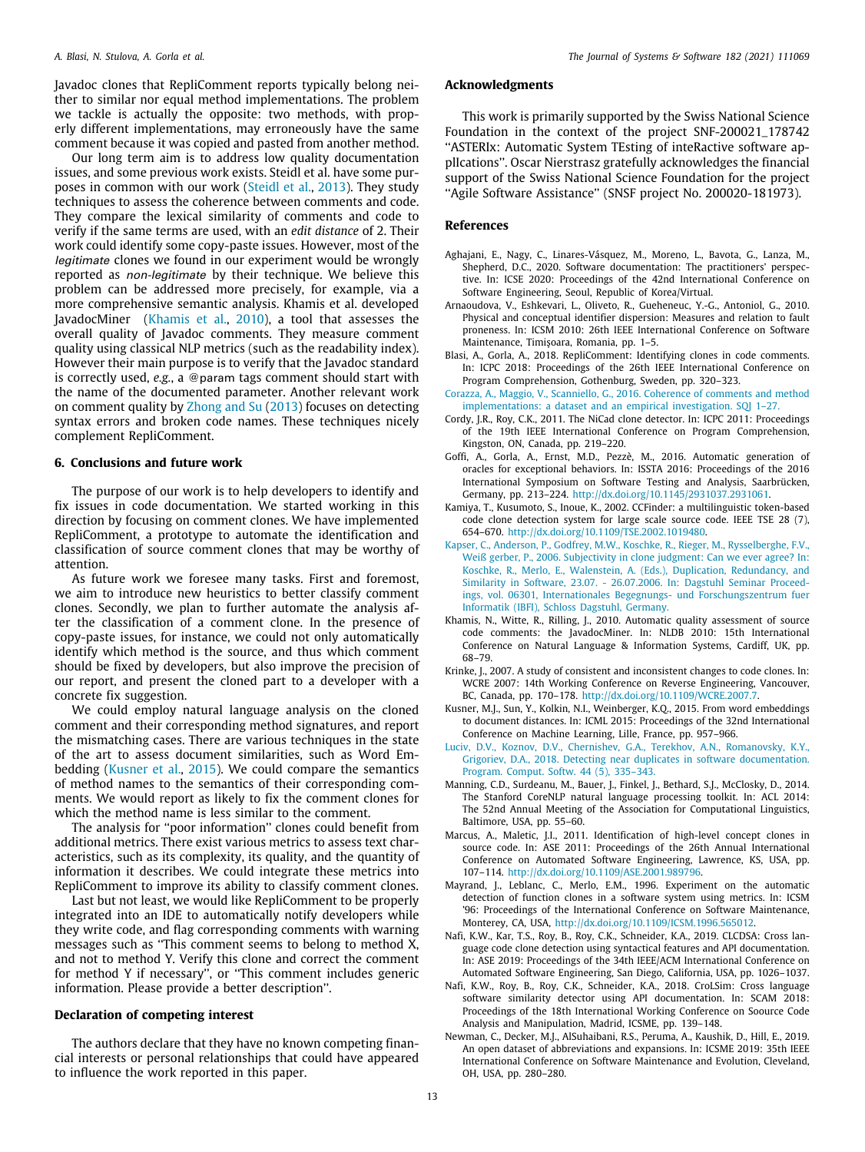Javadoc clones that RepliComment reports typically belong neither to similar nor equal method implementations. The problem we tackle is actually the opposite: two methods, with properly different implementations, may erroneously have the same comment because it was copied and pasted from another method.

Our long term aim is to address low quality documentation issues, and some previous work exists. Steidl et al. have some purposes in common with our work ([Steidl et al.](#page-13-6), [2013](#page-13-6)). They study techniques to assess the coherence between comments and code. They compare the lexical similarity of comments and code to verify if the same terms are used, with an *edit distance* of 2. Their work could identify some copy-paste issues. However, most of the *legitimate* clones we found in our experiment would be wrongly reported as *non-legitimate* by their technique. We believe this problem can be addressed more precisely, for example, via a more comprehensive semantic analysis. Khamis et al. developed JavadocMiner [\(Khamis et al.](#page-12-17), [2010\)](#page-12-17), a tool that assesses the overall quality of Javadoc comments. They measure comment quality using classical NLP metrics (such as the readability index). However their main purpose is to verify that the Javadoc standard is correctly used, *e.g.*, a @param tags comment should start with the name of the documented parameter. Another relevant work on comment quality by [Zhong and Su](#page-13-7) [\(2013](#page-13-7)) focuses on detecting syntax errors and broken code names. These techniques nicely complement RepliComment.

#### **6. Conclusions and future work**

<span id="page-12-7"></span>The purpose of our work is to help developers to identify and fix issues in code documentation. We started working in this direction by focusing on comment clones. We have implemented RepliComment, a prototype to automate the identification and classification of source comment clones that may be worthy of attention.

As future work we foresee many tasks. First and foremost, we aim to introduce new heuristics to better classify comment clones. Secondly, we plan to further automate the analysis after the classification of a comment clone. In the presence of copy-paste issues, for instance, we could not only automatically identify which method is the source, and thus which comment should be fixed by developers, but also improve the precision of our report, and present the cloned part to a developer with a concrete fix suggestion.

We could employ natural language analysis on the cloned comment and their corresponding method signatures, and report the mismatching cases. There are various techniques in the state of the art to assess document similarities, such as Word Embedding ([Kusner et al.,](#page-12-18) [2015](#page-12-18)). We could compare the semantics of method names to the semantics of their corresponding comments. We would report as likely to fix the comment clones for which the method name is less similar to the comment.

The analysis for ''poor information'' clones could benefit from additional metrics. There exist various metrics to assess text characteristics, such as its complexity, its quality, and the quantity of information it describes. We could integrate these metrics into RepliComment to improve its ability to classify comment clones.

Last but not least, we would like RepliComment to be properly integrated into an IDE to automatically notify developers while they write code, and flag corresponding comments with warning messages such as ''This comment seems to belong to method X, and not to method Y. Verify this clone and correct the comment for method Y if necessary'', or ''This comment includes generic information. Please provide a better description''.

# **Declaration of competing interest**

The authors declare that they have no known competing financial interests or personal relationships that could have appeared to influence the work reported in this paper.

# **Acknowledgments**

This work is primarily supported by the Swiss National Science Foundation in the context of the project SNF-200021\_178742 ''ASTERIx: Automatic System TEsting of inteRactive software applIcations''. Oscar Nierstrasz gratefully acknowledges the financial support of the Swiss National Science Foundation for the project ''Agile Software Assistance'' (SNSF project No. 200020-181973).

# **References**

- <span id="page-12-4"></span>Aghajani, E., Nagy, C., Linares-Vásquez, M., Moreno, L., Bavota, G., Lanza, M., Shepherd, D.C., 2020. Software documentation: The practitioners' perspective. In: ICSE 2020: Proceedings of the 42nd International Conference on Software Engineering, Seoul, Republic of Korea/Virtual.
- <span id="page-12-3"></span>Arnaoudova, V., Eshkevari, L., Oliveto, R., Gueheneuc, Y.-G., Antoniol, G., 2010. Physical and conceptual identifier dispersion: Measures and relation to fault proneness. In: ICSM 2010: 26th IEEE International Conference on Software Maintenance, Timişoara, Romania, pp. 1–5.
- <span id="page-12-1"></span>Blasi, A., Gorla, A., 2018. RepliComment: Identifying clones in code comments. In: ICPC 2018: Proceedings of the 26th IEEE International Conference on Program Comprehension, Gothenburg, Sweden, pp. 320–323.
- <span id="page-12-2"></span>[Corazza, A., Maggio, V., Scanniello, G., 2016. Coherence of comments and method](http://refhub.elsevier.com/S0164-1212(21)00166-7/sb4) [implementations: a dataset and an empirical investigation. SQJ 1–27.](http://refhub.elsevier.com/S0164-1212(21)00166-7/sb4)
- <span id="page-12-10"></span>Cordy, J.R., Roy, C.K., 2011. The NiCad clone detector. In: ICPC 2011: Proceedings of the 19th IEEE International Conference on Program Comprehension, Kingston, ON, Canada, pp. 219–220.
- <span id="page-12-0"></span>Goffi, A., Gorla, A., Ernst, M.D., Pezzè, M., 2016. Automatic generation of oracles for exceptional behaviors. In: ISSTA 2016: Proceedings of the 2016 International Symposium on Software Testing and Analysis, Saarbrücken, Germany, pp. 213–224. <http://dx.doi.org/10.1145/2931037.2931061>.
- <span id="page-12-13"></span>Kamiya, T., Kusumoto, S., Inoue, K., 2002. CCFinder: a multilinguistic token-based code clone detection system for large scale source code. IEEE TSE 28 (7), 654–670. [http://dx.doi.org/10.1109/TSE.2002.1019480.](http://dx.doi.org/10.1109/TSE.2002.1019480)
- <span id="page-12-11"></span>[Kapser, C., Anderson, P., Godfrey, M.W., Koschke, R., Rieger, M., Rysselberghe, F.V.,](http://refhub.elsevier.com/S0164-1212(21)00166-7/sb8) [Weiß gerber, P., 2006. Subjectivity in clone judgment: Can we ever agree? In:](http://refhub.elsevier.com/S0164-1212(21)00166-7/sb8) [Koschke, R., Merlo, E., Walenstein, A. \(Eds.\), Duplication, Redundancy, and](http://refhub.elsevier.com/S0164-1212(21)00166-7/sb8) [Similarity in Software, 23.07. - 26.07.2006. In: Dagstuhl Seminar Proceed](http://refhub.elsevier.com/S0164-1212(21)00166-7/sb8)[ings, vol. 06301, Internationales Begegnungs- und Forschungszentrum fuer](http://refhub.elsevier.com/S0164-1212(21)00166-7/sb8) [Informatik \(IBFI\), Schloss Dagstuhl, Germany.](http://refhub.elsevier.com/S0164-1212(21)00166-7/sb8)
- <span id="page-12-17"></span>Khamis, N., Witte, R., Rilling, J., 2010. Automatic quality assessment of source code comments: the JavadocMiner. In: NLDB 2010: 15th International Conference on Natural Language & Information Systems, Cardiff, UK, pp. 68–79.
- <span id="page-12-14"></span>Krinke, J., 2007. A study of consistent and inconsistent changes to code clones. In: WCRE 2007: 14th Working Conference on Reverse Engineering, Vancouver, BC, Canada, pp. 170–178. [http://dx.doi.org/10.1109/WCRE.2007.7.](http://dx.doi.org/10.1109/WCRE.2007.7)
- <span id="page-12-18"></span>Kusner, M.J., Sun, Y., Kolkin, N.I., Weinberger, K.Q., 2015. From word embeddings to document distances. In: ICML 2015: Proceedings of the 32nd International Conference on Machine Learning, Lille, France, pp. 957–966.
- <span id="page-12-12"></span>[Luciv, D.V., Koznov, D.V., Chernishev, G.A., Terekhov, A.N., Romanovsky, K.Y.,](http://refhub.elsevier.com/S0164-1212(21)00166-7/sb12) [Grigoriev, D.A., 2018. Detecting near duplicates in software documentation.](http://refhub.elsevier.com/S0164-1212(21)00166-7/sb12) [Program. Comput. Softw. 44 \(5\), 335–343.](http://refhub.elsevier.com/S0164-1212(21)00166-7/sb12)
- <span id="page-12-8"></span>Manning, C.D., Surdeanu, M., Bauer, J., Finkel, J., Bethard, S.J., McClosky, D., 2014. The Stanford CoreNLP natural language processing toolkit. In: ACL 2014: The 52nd Annual Meeting of the Association for Computational Linguistics, Baltimore, USA, pp. 55–60.
- <span id="page-12-15"></span>Marcus, A., Maletic, J.I., 2011. Identification of high-level concept clones in source code. In: ASE 2011: Proceedings of the 26th Annual International Conference on Automated Software Engineering, Lawrence, KS, USA, pp. 107–114. [http://dx.doi.org/10.1109/ASE.2001.989796.](http://dx.doi.org/10.1109/ASE.2001.989796)
- <span id="page-12-16"></span>Mayrand, J., Leblanc, C., Merlo, E.M., 1996. Experiment on the automatic detection of function clones in a software system using metrics. In: ICSM '96: Proceedings of the International Conference on Software Maintenance, Monterey, CA, USA, <http://dx.doi.org/10.1109/ICSM.1996.565012>.
- <span id="page-12-5"></span>Nafi, K.W., Kar, T.S., Roy, B., Roy, C.K., Schneider, K.A., 2019. CLCDSA: Cross language code clone detection using syntactical features and API documentation. In: ASE 2019: Proceedings of the 34th IEEE/ACM International Conference on Automated Software Engineering, San Diego, California, USA, pp. 1026–1037.
- <span id="page-12-6"></span>Nafi, K.W., Roy, B., Roy, C.K., Schneider, K.A., 2018. CroLSim: Cross language software similarity detector using API documentation. In: SCAM 2018: Proceedings of the 18th International Working Conference on Soource Code Analysis and Manipulation, Madrid, ICSME, pp. 139–148.
- <span id="page-12-9"></span>Newman, C., Decker, M.J., AlSuhaibani, R.S., Peruma, A., Kaushik, D., Hill, E., 2019. An open dataset of abbreviations and expansions. In: ICSME 2019: 35th IEEE International Conference on Software Maintenance and Evolution, Cleveland, OH, USA, pp. 280–280.